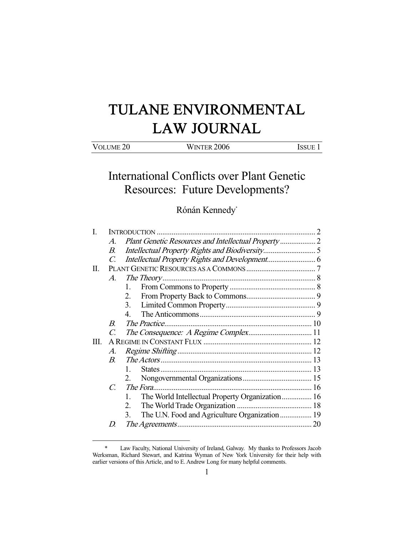# TULANE ENVIRONMENTAL LAW JOURNAL

| VOLUME <sub>20</sub> | <b>WINTER 2006</b> | Issue |
|----------------------|--------------------|-------|

International Conflicts over Plant Genetic Resources: Future Developments?

Rónán Kennedy\*

| L  |                       |                                                       |  |
|----|-----------------------|-------------------------------------------------------|--|
|    | $\mathcal{A}_{\cdot}$ |                                                       |  |
|    | В.                    |                                                       |  |
|    | $C_{\cdot}$           |                                                       |  |
| П. |                       |                                                       |  |
|    | A.                    |                                                       |  |
|    |                       | 1.                                                    |  |
|    |                       | 2.                                                    |  |
|    |                       | 3.                                                    |  |
|    |                       | 4                                                     |  |
|    | B                     |                                                       |  |
|    | $\mathcal C$          |                                                       |  |
| Ш. |                       |                                                       |  |
|    | A.                    |                                                       |  |
|    | $B_{\cdot}$           |                                                       |  |
|    |                       | $\mathbf{1}$                                          |  |
|    |                       |                                                       |  |
|    | $\mathcal{C}$ .       |                                                       |  |
|    |                       | The World Intellectual Property Organization 16<br>1. |  |
|    |                       | 2.                                                    |  |
|    |                       | The U.N. Food and Agriculture Organization 19<br>3.   |  |
|    | D                     |                                                       |  |
|    |                       |                                                       |  |

 <sup>\*</sup> Law Faculty, National University of Ireland, Galway. My thanks to Professors Jacob Werksman, Richard Stewart, and Katrina Wyman of New York University for their help with earlier versions of this Article, and to E. Andrew Long for many helpful comments.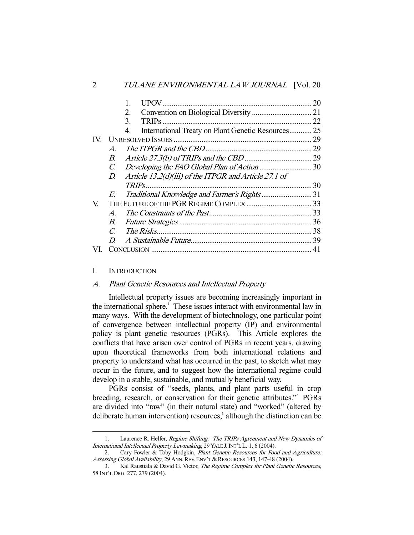|     |                             |                                                          | 20 |
|-----|-----------------------------|----------------------------------------------------------|----|
|     |                             | 2.                                                       |    |
|     |                             | 3.                                                       |    |
|     |                             | International Treaty on Plant Genetic Resources 25<br>4. |    |
| IV. |                             |                                                          |    |
|     | $\mathcal{A}_{\cdot}$       |                                                          |    |
|     | В.                          |                                                          |    |
|     | C.                          |                                                          |    |
|     | D.                          | Article 13.2(d)(iii) of the ITPGR and Article 27.1 of    |    |
|     |                             |                                                          |    |
|     | E.                          |                                                          |    |
| V.  |                             |                                                          |    |
|     | $\mathcal{A}_{\cdot}$       |                                                          |    |
|     | В.                          |                                                          |    |
|     | $\mathcal{C}_{\mathcal{C}}$ |                                                          |    |
|     | D                           |                                                          |    |
| VL. |                             |                                                          |    |

# I. INTRODUCTION

-

## A. Plant Genetic Resources and Intellectual Property

 Intellectual property issues are becoming increasingly important in the international sphere.<sup>1</sup> These issues interact with environmental law in many ways. With the development of biotechnology, one particular point of convergence between intellectual property (IP) and environmental policy is plant genetic resources (PGRs). This Article explores the conflicts that have arisen over control of PGRs in recent years, drawing upon theoretical frameworks from both international relations and property to understand what has occurred in the past, to sketch what may occur in the future, and to suggest how the international regime could develop in a stable, sustainable, and mutually beneficial way.

PGRs consist of "seeds, plants, and plant parts useful in crop breeding, research, or conservation for their genetic attributes."<sup>2</sup> PGRs are divided into "raw" (in their natural state) and "worked" (altered by deliberate human intervention) resources,<sup>3</sup> although the distinction can be

<sup>1.</sup> Laurence R. Helfer, Regime Shifting: The TRIPs Agreement and New Dynamics of International Intellectual Property Lawmaking, 29 YALE J.INT'L L. 1, 6 (2004).

<sup>2.</sup> Cary Fowler & Toby Hodgkin, Plant Genetic Resources for Food and Agriculture: Assessing Global Availability, 29 ANN. REV. ENV'T & RESOURCES 143, 147-48 (2004).

 <sup>3.</sup> Kal Raustiala & David G. Victor, The Regime Complex for Plant Genetic Resources, 58 INT'L ORG. 277, 279 (2004).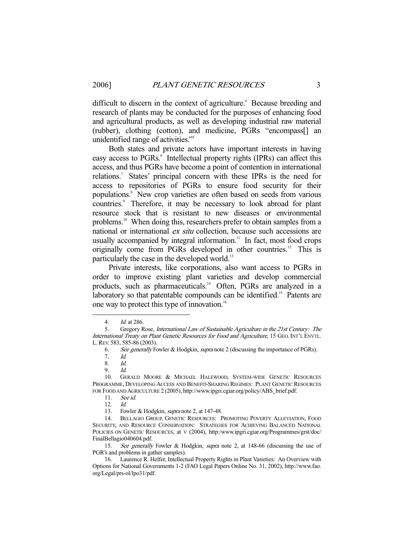difficult to discern in the context of agriculture.<sup>4</sup> Because breeding and research of plants may be conducted for the purposes of enhancing food and agricultural products, as well as developing industrial raw material (rubber), clothing (cotton), and medicine, PGRs "encompass[] an unidentified range of activities."5

 Both states and private actors have important interests in having easy access to PGRs.<sup>6</sup> Intellectual property rights (IPRs) can affect this access, and thus PGRs have become a point of contention in international relations.<sup>7</sup> States' principal concern with these IPRs is the need for access to repositories of PGRs to ensure food security for their populations.<sup>8</sup> New crop varieties are often based on seeds from various countries.<sup>9</sup> Therefore, it may be necessary to look abroad for plant resource stock that is resistant to new diseases or environmental problems.10 When doing this, researchers prefer to obtain samples from a national or international ex situ collection, because such accessions are usually accompanied by integral information. $\frac{1}{1}$  In fact, most food crops originally come from PGRs developed in other countries.12 This is particularly the case in the developed world.<sup>13</sup>

 Private interests, like corporations, also want access to PGRs in order to improve existing plant varieties and develop commercial products, such as pharmaceuticals.<sup>14</sup> Often, PGRs are analyzed in a laboratory so that patentable compounds can be identified.<sup>15</sup> Patents are one way to protect this type of innovation.<sup>16</sup>

 <sup>4.</sup> Id. at 286.

 <sup>5.</sup> Gregory Rose, International Law of Sustainable Agriculture in the 21st Century: The International Treaty on Plant Genetic Resources for Food and Agriculture, 15 GEO.INT'L ENVTL. L.REV. 583, 585-86 (2003).

 <sup>6.</sup> See generally Fowler & Hodgkin, supra note 2 (discussing the importance of PGRs).

 <sup>7.</sup> Id.

 <sup>8.</sup> Id.

 <sup>9.</sup> Id.

 <sup>10.</sup> GERALD MOORE & MICHAEL HALEWOOD, SYSTEM-WIDE GENETIC RESOURCES PROGRAMME, DEVELOPING ACCESS AND BENEFIT-SHARING REGIMES: PLANT GENETIC RESOURCES FOR FOOD AND AGRICULTURE 2 (2005), http://www.ipgri.cgiar.org/policy/ABS\_brief.pdf.

 <sup>11.</sup> See id.

 <sup>12.</sup> Id.

<sup>13.</sup> Fowler & Hodgkin, *supra* note 2, at 147-48.

 <sup>14.</sup> BELLAGIO GROUP, GENETIC RESOURCES: PROMOTING POVERTY ALLEVIATION, FOOD SECURITY, AND RESOURCE CONSERVATION: STRATEGIES FOR ACHIEVING BALANCED NATIONAL POLICIES ON GENETIC RESOURCES, at V (2004), http:/www.ipgri.cgiar.org/Programmes/grst/doc/ FinalBellagio040604.pdf.

<sup>15.</sup> See generally Fowler & Hodgkin, supra note 2, at 148-66 (discussing the use of PGR's and problems in gather samples).

 <sup>16.</sup> Laurence R. Helfer, Intellectual Property Rights in Plant Varieties: An Overview with Options for National Governments 1-2 (FAO Legal Papers Online No. 31, 2002), http://www.fao. org/Legal/prs-ol/lpo31/pdf.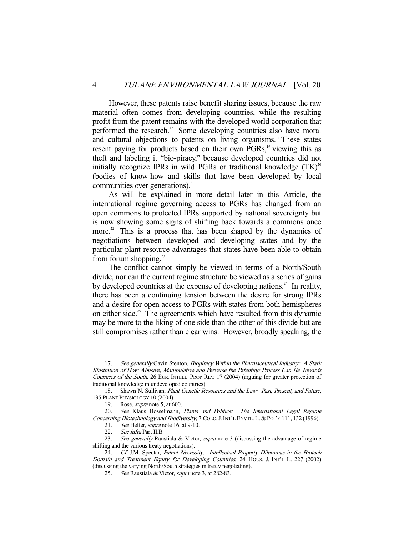However, these patents raise benefit sharing issues, because the raw material often comes from developing countries, while the resulting profit from the patent remains with the developed world corporation that performed the research.<sup>17</sup> Some developing countries also have moral and cultural objections to patents on living organisms.<sup>18</sup> These states resent paying for products based on their own PGRs,<sup>19</sup> viewing this as theft and labeling it "bio-piracy," because developed countries did not initially recognize IPRs in wild PGRs or traditional knowledge  $(TK)^{20}$ (bodies of know-how and skills that have been developed by local communities over generations). $^{21}$ 

 As will be explained in more detail later in this Article, the international regime governing access to PGRs has changed from an open commons to protected IPRs supported by national sovereignty but is now showing some signs of shifting back towards a commons once more.<sup>22</sup> This is a process that has been shaped by the dynamics of negotiations between developed and developing states and by the particular plant resource advantages that states have been able to obtain from forum shopping. $^{23}$ 

 The conflict cannot simply be viewed in terms of a North/South divide, nor can the current regime structure be viewed as a series of gains by developed countries at the expense of developing nations.<sup>24</sup> In reality, there has been a continuing tension between the desire for strong IPRs and a desire for open access to PGRs with states from both hemispheres on either side.<sup>25</sup> The agreements which have resulted from this dynamic may be more to the liking of one side than the other of this divide but are still compromises rather than clear wins. However, broadly speaking, the

<sup>17.</sup> See generally Gavin Stenton, Biopiracy Within the Pharmaceutical Industry: A Stark Illustration of How Abusive, Manipulative and Perverse the Patenting Process Can Be Towards Countries of the South, 26 EUR. INTELL. PROP. REV. 17 (2004) (arguing for greater protection of traditional knowledge in undeveloped countries).

<sup>18.</sup> Shawn N. Sullivan, *Plant Genetic Resources and the Law: Past, Present, and Future,* 135 PLANT PHYSIOLOGY 10 (2004).

 <sup>19.</sup> Rose, supra note 5, at 600.

<sup>20.</sup> See Klaus Bosselmann, Plants and Politics: The International Legal Regime Concerning Biotechnology and Biodiversity, 7 COLO. J. INT'L ENVTL. L. & POL'Y 111, 132 (1996).

<sup>21.</sup> See Helfer, *supra* note 16, at 9-10.

<sup>22.</sup> See infra Part II.B.<br>23. See generally Rau

See generally Raustiala & Victor, supra note 3 (discussing the advantage of regime shifting and the various treaty negotiations).

<sup>24.</sup> Cf. J.M. Spectar, Patent Necessity: Intellectual Property Dilemmas in the Biotech Domain and Treatment Equity for Developing Countries, 24 HOUS. J. INT'L L. 227 (2002) (discussing the varying North/South strategies in treaty negotiating).

 <sup>25.</sup> See Raustiala & Victor, supra note 3, at 282-83.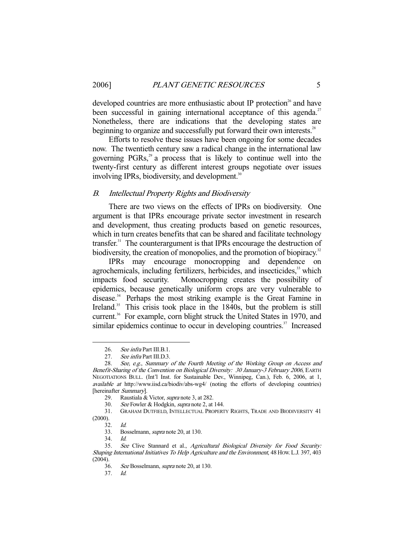developed countries are more enthusiastic about IP protection<sup>26</sup> and have been successful in gaining international acceptance of this agenda.<sup>27</sup> Nonetheless, there are indications that the developing states are beginning to organize and successfully put forward their own interests.<sup>28</sup>

 Efforts to resolve these issues have been ongoing for some decades now. The twentieth century saw a radical change in the international law governing  $PGRs$ ,<sup>29</sup> a process that is likely to continue well into the twenty-first century as different interest groups negotiate over issues involving IPRs, biodiversity, and development.<sup>30</sup>

## B. Intellectual Property Rights and Biodiversity

 There are two views on the effects of IPRs on biodiversity. One argument is that IPRs encourage private sector investment in research and development, thus creating products based on genetic resources, which in turn creates benefits that can be shared and facilitate technology transfer. $31$  The counterargument is that IPRs encourage the destruction of biodiversity, the creation of monopolies, and the promotion of biopiracy.<sup>32</sup>

 IPRs may encourage monocropping and dependence on agrochemicals, including fertilizers, herbicides, and insecticides,<sup>33</sup> which impacts food security. Monocropping creates the possibility of epidemics, because genetically uniform crops are very vulnerable to disease.34 Perhaps the most striking example is the Great Famine in Ireland.<sup>35</sup> This crisis took place in the 1840s, but the problem is still current.<sup>36</sup> For example, corn blight struck the United States in 1970, and similar epidemics continue to occur in developing countries.<sup>37</sup> Increased

 31. GRAHAM DUTFIELD, INTELLECTUAL PROPERTY RIGHTS, TRADE AND BIODIVERSITY 41 (2000).

 <sup>26.</sup> See infra Part III.B.1.

<sup>27.</sup> See infra Part III.D.3.

 <sup>28.</sup> See, e.g., Summary of the Fourth Meeting of the Working Group on Access and Benefit-Sharing of the Convention on Biological Diversity: 30 January-3 February 2006, EARTH NEGOTIATIONS BULL. (Int'l Inst. for Sustainable Dev., Winnipeg, Can.), Feb. 6, 2006, at 1, available at http://www.iisd.ca/biodiv/abs-wg4/ (noting the efforts of developing countries) [hereinafter Summary].

 <sup>29.</sup> Raustiala & Victor, supra note 3, at 282.

 <sup>30.</sup> See Fowler & Hodgkin, supra note 2, at 144.

 <sup>32.</sup> Id.

 <sup>33.</sup> Bosselmann, supra note 20, at 130.

 <sup>34.</sup> Id.

 <sup>35.</sup> See Clive Stannard et al., Agricultural Biological Diversity for Food Security: Shaping International Initiatives To Help Agriculture and the Environment, 48 HOW. L.J. 397, 403  $(2004)$ .

 <sup>36.</sup> See Bosselmann, supra note 20, at 130.

 <sup>37.</sup> Id.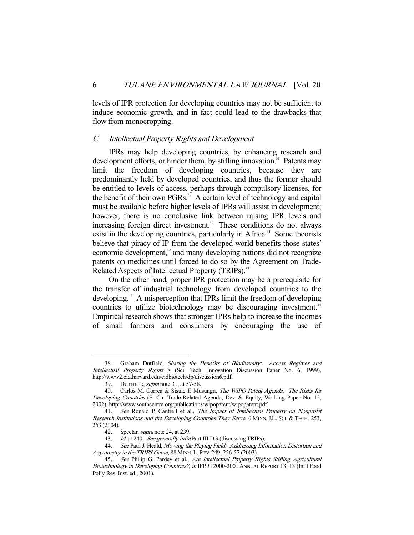levels of IPR protection for developing countries may not be sufficient to induce economic growth, and in fact could lead to the drawbacks that flow from monocropping.

### C. Intellectual Property Rights and Development

 IPRs may help developing countries, by enhancing research and development efforts, or hinder them, by stifling innovation.<sup>38</sup> Patents may limit the freedom of developing countries, because they are predominantly held by developed countries, and thus the former should be entitled to levels of access, perhaps through compulsory licenses, for the benefit of their own PGRs.<sup>39</sup> A certain level of technology and capital must be available before higher levels of IPRs will assist in development; however, there is no conclusive link between raising IPR levels and increasing foreign direct investment.<sup>40</sup> These conditions do not always exist in the developing countries, particularly in Africa.<sup>41</sup> Some theorists believe that piracy of IP from the developed world benefits those states' economic development,<sup>42</sup> and many developing nations did not recognize patents on medicines until forced to do so by the Agreement on Trade-Related Aspects of Intellectual Property (TRIPs).<sup>43</sup>

 On the other hand, proper IPR protection may be a prerequisite for the transfer of industrial technology from developed countries to the developing.<sup>44</sup> A misperception that IPRs limit the freedom of developing countries to utilize biotechnology may be discouraging investment.<sup>45</sup> Empirical research shows that stronger IPRs help to increase the incomes of small farmers and consumers by encouraging the use of

<sup>38.</sup> Graham Dutfield, Sharing the Benefits of Biodiversity: Access Regimes and Intellectual Property Rights 8 (Sci. Tech. Innovation Discussion Paper No. 6, 1999), http://www2.cid.harvard.edu/cidbiotech/dp/discussion6.pdf.

<sup>39.</sup> DUTFIELD, *supra* note 31, at 57-58.

<sup>40.</sup> Carlos M. Correa & Sisule F. Musungu, *The WIPO Patent Agenda: The Risks for* Developing Countries (S. Ctr. Trade-Related Agenda, Dev. & Equity, Working Paper No. 12, 2002), http://www.southcentre.org/publications/wipopatent/wipopatent.pdf.

 <sup>41.</sup> See Ronald P. Cantrell et al., The Impact of Intellectual Property on Nonprofit Research Institutions and the Developing Countries They Serve, 6 MINN. J.L. SCI. & TECH. 253, 263 (2004).

<sup>42.</sup> Spectar, supra note 24, at 239.

<sup>43.</sup> Id. at 240. See generally infra Part III.D.3 (discussing TRIPs).

<sup>44.</sup> See Paul J. Heald, Mowing the Playing Field: Addressing Information Distortion and Asymmetry in the TRIPS Game, 88 MINN. L. REV. 249, 256-57 (2003).

<sup>45.</sup> See Philip G. Pardey et al., Are Intellectual Property Rights Stifling Agricultural Biotechnology in Developing Countries?, in IFPRI 2000-2001 ANNUAL REPORT 13, 13 (Int'l Food Pol'y Res. Inst. ed., 2001).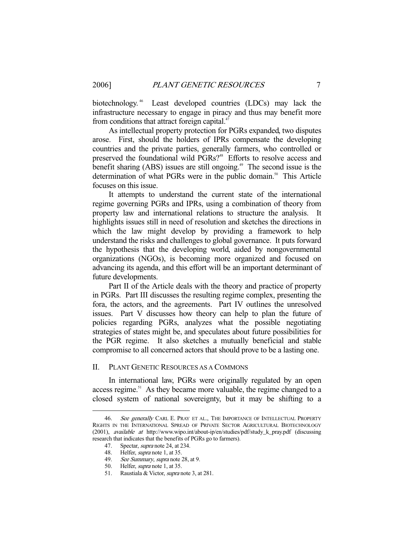biotechnology.<sup>46</sup> Least developed countries (LDCs) may lack the infrastructure necessary to engage in piracy and thus may benefit more from conditions that attract foreign capital.<sup>47</sup>

 As intellectual property protection for PGRs expanded, two disputes arose. First, should the holders of IPRs compensate the developing countries and the private parties, generally farmers, who controlled or preserved the foundational wild PGRs?<sup>48</sup> Efforts to resolve access and benefit sharing  $(ABS)$  issues are still ongoing.<sup>49</sup> The second issue is the determination of what PGRs were in the public domain.<sup>50</sup> This Article focuses on this issue.

 It attempts to understand the current state of the international regime governing PGRs and IPRs, using a combination of theory from property law and international relations to structure the analysis. It highlights issues still in need of resolution and sketches the directions in which the law might develop by providing a framework to help understand the risks and challenges to global governance. It puts forward the hypothesis that the developing world, aided by nongovernmental organizations (NGOs), is becoming more organized and focused on advancing its agenda, and this effort will be an important determinant of future developments.

 Part II of the Article deals with the theory and practice of property in PGRs. Part III discusses the resulting regime complex, presenting the fora, the actors, and the agreements. Part IV outlines the unresolved issues. Part V discusses how theory can help to plan the future of policies regarding PGRs, analyzes what the possible negotiating strategies of states might be, and speculates about future possibilities for the PGR regime. It also sketches a mutually beneficial and stable compromise to all concerned actors that should prove to be a lasting one.

## II. PLANT GENETIC RESOURCES AS A COMMONS

 In international law, PGRs were originally regulated by an open access regime.<sup>51</sup> As they became more valuable, the regime changed to a closed system of national sovereignty, but it may be shifting to a

<sup>46.</sup> See generally CARL E. PRAY ET AL., THE IMPORTANCE OF INTELLECTUAL PROPERTY RIGHTS IN THE INTERNATIONAL SPREAD OF PRIVATE SECTOR AGRICULTURAL BIOTECHNOLOGY (2001), available at http://www.wipo.int/about-ip/en/studies/pdf/study\_k\_pray.pdf (discussing research that indicates that the benefits of PGRs go to farmers).

<sup>47.</sup> Spectar, *supra* note 24, at 234.

<sup>48.</sup> Helfer, *supra* note 1, at 35.

<sup>49.</sup> See Summary, supra note 28, at 9.

 <sup>50.</sup> Helfer, supra note 1, at 35.

 <sup>51.</sup> Raustiala & Victor, supra note 3, at 281.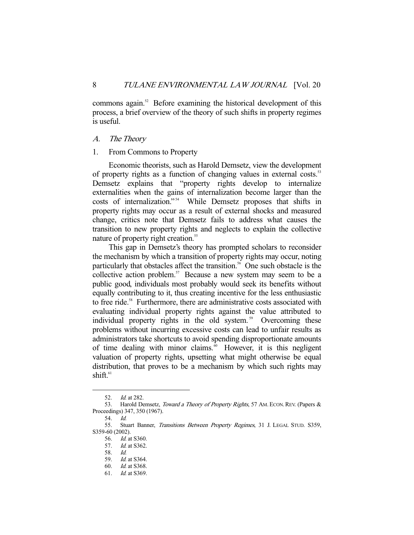commons again.<sup>52</sup> Before examining the historical development of this process, a brief overview of the theory of such shifts in property regimes is useful.

# A. The Theory

## 1. From Commons to Property

 Economic theorists, such as Harold Demsetz, view the development of property rights as a function of changing values in external costs.<sup>53</sup> Demsetz explains that "property rights develop to internalize externalities when the gains of internalization become larger than the costs of internalization."<sup>54</sup> While Demsetz proposes that shifts in property rights may occur as a result of external shocks and measured change, critics note that Demsetz fails to address what causes the transition to new property rights and neglects to explain the collective nature of property right creation.<sup>55</sup>

 This gap in Demsetz's theory has prompted scholars to reconsider the mechanism by which a transition of property rights may occur, noting particularly that obstacles affect the transition.<sup>56</sup> One such obstacle is the collective action problem.<sup>57</sup> Because a new system may seem to be a public good, individuals most probably would seek its benefits without equally contributing to it, thus creating incentive for the less enthusiastic to free ride.<sup>58</sup> Furthermore, there are administrative costs associated with evaluating individual property rights against the value attributed to individual property rights in the old system.<sup>59</sup> Overcoming these problems without incurring excessive costs can lead to unfair results as administrators take shortcuts to avoid spending disproportionate amounts of time dealing with minor claims. $\frac{60}{10}$  However, it is this negligent valuation of property rights, upsetting what might otherwise be equal distribution, that proves to be a mechanism by which such rights may shift. $61$ 

 <sup>52.</sup> Id. at 282.

<sup>53.</sup> Harold Demsetz, Toward a Theory of Property Rights, 57 AM. ECON. REV. (Papers & Proceedings) 347, 350 (1967).

 <sup>54.</sup> Id.

<sup>55.</sup> Stuart Banner, Transitions Between Property Regimes, 31 J. LEGAL STUD. S359, S359-60 (2002).

 <sup>56.</sup> Id. at S360.

 <sup>57.</sup> Id. at S362.

 <sup>58.</sup> Id.

 <sup>59.</sup> Id. at S364.

 <sup>60.</sup> Id. at S368.

 <sup>61.</sup> Id. at S369.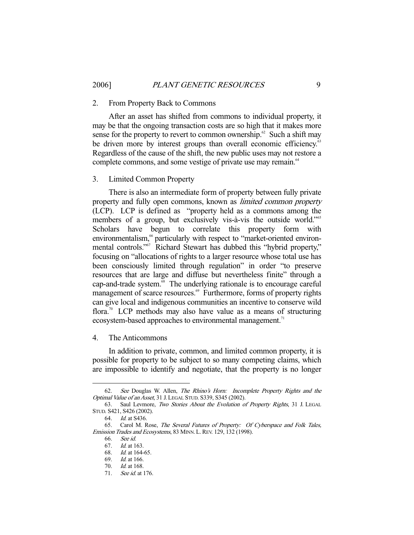#### 2. From Property Back to Commons

 After an asset has shifted from commons to individual property, it may be that the ongoing transaction costs are so high that it makes more sense for the property to revert to common ownership. $62$  Such a shift may be driven more by interest groups than overall economic efficiency.<sup>63</sup> Regardless of the cause of the shift, the new public uses may not restore a complete commons, and some vestige of private use may remain.<sup>64</sup>

#### 3. Limited Common Property

 There is also an intermediate form of property between fully private property and fully open commons, known as limited common property (LCP). LCP is defined as "property held as a commons among the members of a group, but exclusively vis-à-vis the outside world."<sup>65</sup> Scholars have begun to correlate this property form with environmentalism,<sup>66</sup> particularly with respect to "market-oriented environmental controls."<sup>67</sup> Richard Stewart has dubbed this "hybrid property," focusing on "allocations of rights to a larger resource whose total use has been consciously limited through regulation" in order "to preserve resources that are large and diffuse but nevertheless finite" through a cap-and-trade system.<sup>68</sup> The underlying rationale is to encourage careful management of scarce resources.<sup>69</sup> Furthermore, forms of property rights can give local and indigenous communities an incentive to conserve wild flora.<sup>70</sup> LCP methods may also have value as a means of structuring ecosystem-based approaches to environmental management.<sup>71</sup>

4. The Anticommons

 In addition to private, common, and limited common property, it is possible for property to be subject to so many competing claims, which are impossible to identify and negotiate, that the property is no longer

 <sup>62.</sup> See Douglas W. Allen, The Rhino's Horn: Incomplete Property Rights and the Optimal Value of an Asset, 31 J. LEGAL STUD. S339, S345 (2002).

 <sup>63.</sup> Saul Levmore, Two Stories About the Evolution of Property Rights, 31 J. LEGAL STUD. S421, S426 (2002).

 <sup>64.</sup> Id. at S436.

 <sup>65.</sup> Carol M. Rose, The Several Futures of Property: Of Cyberspace and Folk Tales, Emission Trades and Ecosystems, 83 MINN. L. REV. 129, 132 (1998).

 <sup>66.</sup> See id.

 <sup>67.</sup> Id. at 163.

 <sup>68.</sup> Id. at 164-65.

 <sup>69.</sup> Id. at 166.

 <sup>70.</sup> Id. at 168.

 <sup>71.</sup> See id. at 176.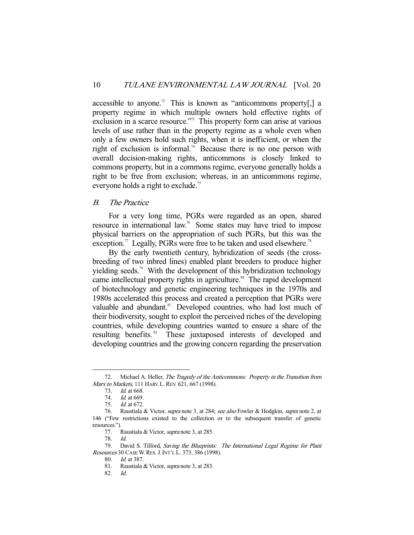accessible to anyone.<sup>72</sup> This is known as "anticommons property[,] a property regime in which multiple owners hold effective rights of exclusion in a scarce resource."73 This property form can arise at various levels of use rather than in the property regime as a whole even when only a few owners hold such rights, when it is inefficient, or when the right of exclusion is informal.<sup>74</sup> Because there is no one person with overall decision-making rights, anticommons is closely linked to commons property, but in a commons regime, everyone generally holds a right to be free from exclusion; whereas, in an anticommons regime, everyone holds a right to exclude.<sup>75</sup>

# B. The Practice

 For a very long time, PGRs were regarded as an open, shared resource in international law.76 Some states may have tried to impose physical barriers on the appropriation of such PGRs, but this was the exception.<sup>77</sup> Legally, PGRs were free to be taken and used elsewhere.<sup>78</sup>

 By the early twentieth century, hybridization of seeds (the crossbreeding of two inbred lines) enabled plant breeders to produce higher yielding seeds.<sup>79</sup> With the development of this hybridization technology came intellectual property rights in agriculture.<sup>80</sup> The rapid development of biotechnology and genetic engineering techniques in the 1970s and 1980s accelerated this process and created a perception that PGRs were valuable and abundant.<sup>81</sup> Developed countries, who had lost much of their biodiversity, sought to exploit the perceived riches of the developing countries, while developing countries wanted to ensure a share of the resulting benefits.<sup>82</sup> These juxtaposed interests of developed and developing countries and the growing concern regarding the preservation

 <sup>72.</sup> Michael A. Heller, The Tragedy of the Anticommons: Property in the Transition from Marx to Markets, 111 HARV. L. REV. 621, 667 (1998).

 <sup>73.</sup> Id. at 668.

<sup>74.</sup> *Id.* at 669.

 <sup>75.</sup> Id. at 672.

 <sup>76.</sup> Raustiala & Victor, supra note 3, at 284; see also Fowler & Hodgkin, supra note 2, at 146 ("Few restrictions existed to the collection or to the subsequent transfer of genetic resources.").

<sup>77.</sup> Raustiala & Victor, *supra* note 3, at 285.

 <sup>78.</sup> Id.

<sup>79.</sup> David S. Tilford, Saving the Blueprints: The International Legal Regime for Plant Resources 30 CASE W.RES.J.INT'L L. 373, 386 (1998).

 <sup>80.</sup> Id. at 387.

 <sup>81.</sup> Raustiala & Victor, supra note 3, at 283.

 <sup>82.</sup> Id.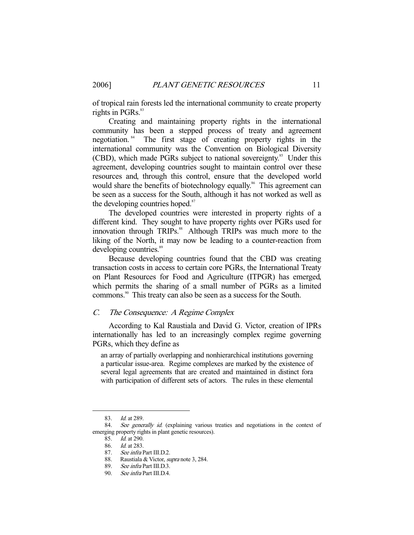of tropical rain forests led the international community to create property rights in PGRs.<sup>83</sup>

 Creating and maintaining property rights in the international community has been a stepped process of treaty and agreement negotiation. 84 The first stage of creating property rights in the international community was the Convention on Biological Diversity (CBD), which made PGRs subject to national sovereignty.<sup>85</sup> Under this agreement, developing countries sought to maintain control over these resources and, through this control, ensure that the developed world would share the benefits of biotechnology equally.<sup>86</sup> This agreement can be seen as a success for the South, although it has not worked as well as the developing countries hoped.<sup>87</sup>

 The developed countries were interested in property rights of a different kind. They sought to have property rights over PGRs used for innovation through TRIPs.<sup>88</sup> Although TRIPs was much more to the liking of the North, it may now be leading to a counter-reaction from developing countries.<sup>89</sup>

 Because developing countries found that the CBD was creating transaction costs in access to certain core PGRs, the International Treaty on Plant Resources for Food and Agriculture (ITPGR) has emerged, which permits the sharing of a small number of PGRs as a limited commons.<sup>90</sup> This treaty can also be seen as a success for the South.

## C. The Consequence: A Regime Complex

 According to Kal Raustiala and David G. Victor, creation of IPRs internationally has led to an increasingly complex regime governing PGRs, which they define as

an array of partially overlapping and nonhierarchical institutions governing a particular issue-area. Regime complexes are marked by the existence of several legal agreements that are created and maintained in distinct fora with participation of different sets of actors. The rules in these elemental

 <sup>83.</sup> Id. at 289.

<sup>84.</sup> See generally id. (explaining various treaties and negotiations in the context of emerging property rights in plant genetic resources).

 <sup>85.</sup> Id. at 290.

 <sup>86.</sup> Id. at 283.

 <sup>87.</sup> See infra Part III.D.2.

 <sup>88.</sup> Raustiala & Victor, supra note 3, 284.

 <sup>89.</sup> See infra Part III.D.3.

 <sup>90.</sup> See infra Part III.D.4.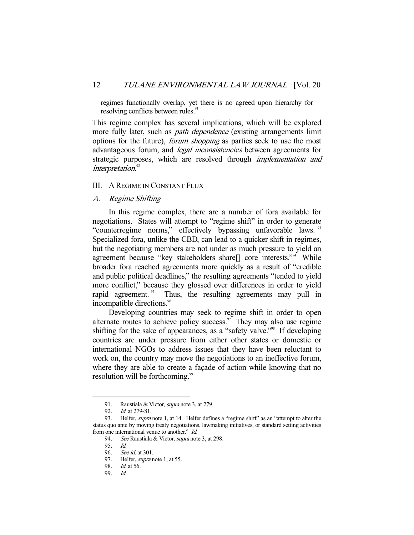regimes functionally overlap, yet there is no agreed upon hierarchy for resolving conflicts between rules.<sup>9</sup>

This regime complex has several implications, which will be explored more fully later, such as *path dependence* (existing arrangements limit options for the future), forum shopping as parties seek to use the most advantageous forum, and *legal inconsistencies* between agreements for strategic purposes, which are resolved through *implementation and* interpretation.<sup>92</sup>

# III. A REGIME IN CONSTANT FLUX

#### A. Regime Shifting

 In this regime complex, there are a number of fora available for negotiations. States will attempt to "regime shift" in order to generate "counterregime norms," effectively bypassing unfavorable laws.<sup>93</sup> Specialized fora, unlike the CBD, can lead to a quicker shift in regimes, but the negotiating members are not under as much pressure to yield an agreement because "key stakeholders share[] core interests."94 While broader fora reached agreements more quickly as a result of "credible and public political deadlines," the resulting agreements "tended to yield more conflict," because they glossed over differences in order to yield rapid agreement.<sup>95</sup> Thus, the resulting agreements may pull in incompatible directions.<sup>96</sup>

 Developing countries may seek to regime shift in order to open alternate routes to achieve policy success. $\frac{97}{1}$  They may also use regime shifting for the sake of appearances, as a "safety valve."<sup>98</sup> If developing countries are under pressure from either other states or domestic or international NGOs to address issues that they have been reluctant to work on, the country may move the negotiations to an ineffective forum, where they are able to create a façade of action while knowing that no resolution will be forthcoming.<sup>99</sup>

 <sup>91.</sup> Raustiala & Victor, supra note 3, at 279.

 <sup>92.</sup> Id. at 279-81.

<sup>93.</sup> Helfer, *supra* note 1, at 14. Helfer defines a "regime shift" as an "attempt to alter the status quo ante by moving treaty negotiations, lawmaking initiatives, or standard setting activities from one international venue to another." Id.

<sup>94.</sup> See Raustiala & Victor, *supra* note 3, at 298.

 <sup>95.</sup> Id.

 <sup>96.</sup> See id. at 301.

<sup>97.</sup> Helfer, *supra* note 1, at 55.

 <sup>98.</sup> Id. at 56.

 <sup>99.</sup> Id.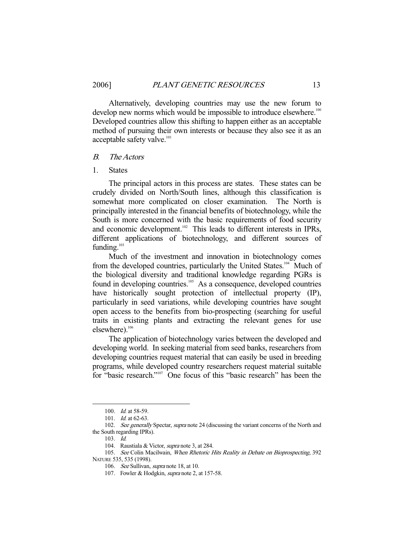Alternatively, developing countries may use the new forum to develop new norms which would be impossible to introduce elsewhere.<sup>100</sup> Developed countries allow this shifting to happen either as an acceptable method of pursuing their own interests or because they also see it as an acceptable safety valve.<sup>101</sup>

#### B. The Actors

#### 1. States

 The principal actors in this process are states. These states can be crudely divided on North/South lines, although this classification is somewhat more complicated on closer examination. The North is principally interested in the financial benefits of biotechnology, while the South is more concerned with the basic requirements of food security and economic development.<sup>102</sup> This leads to different interests in IPRs, different applications of biotechnology, and different sources of funding.<sup>103</sup>

 Much of the investment and innovation in biotechnology comes from the developed countries, particularly the United States.<sup>104</sup> Much of the biological diversity and traditional knowledge regarding PGRs is found in developing countries.<sup>105</sup> As a consequence, developed countries have historically sought protection of intellectual property (IP), particularly in seed variations, while developing countries have sought open access to the benefits from bio-prospecting (searching for useful traits in existing plants and extracting the relevant genes for use elsewhere).<sup>106</sup>

 The application of biotechnology varies between the developed and developing world. In seeking material from seed banks, researchers from developing countries request material that can easily be used in breeding programs, while developed country researchers request material suitable for "basic research."107 One focus of this "basic research" has been the

<sup>100.</sup> *Id.* at 58-59.

 <sup>101.</sup> Id. at 62-63.

<sup>102.</sup> See generally Spectar, supra note 24 (discussing the variant concerns of the North and the South regarding IPRs).

 <sup>103.</sup> Id.

<sup>104.</sup> Raustiala & Victor, *supra* note 3, at 284.

<sup>105.</sup> See Colin Macilwain, When Rhetoric Hits Reality in Debate on Bioprospecting, 392

NATURE 535, 535 (1998).

<sup>106.</sup> See Sullivan, *supra* note 18, at 10.

<sup>107.</sup> Fowler & Hodgkin, *supra* note 2, at 157-58.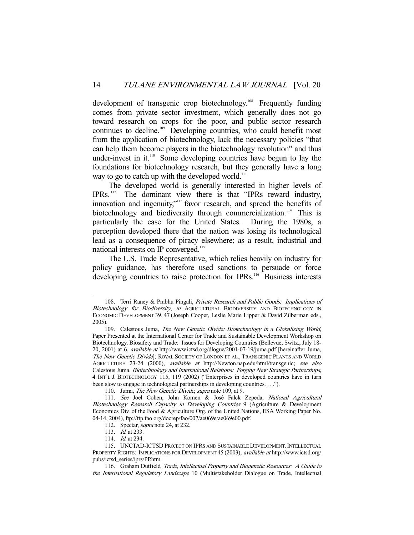development of transgenic crop biotechnology.<sup>108</sup> Frequently funding comes from private sector investment, which generally does not go toward research on crops for the poor, and public sector research continues to decline.<sup>109</sup> Developing countries, who could benefit most from the application of biotechnology, lack the necessary policies "that can help them become players in the biotechnology revolution" and thus under-invest in it.<sup>110</sup> Some developing countries have begun to lay the foundations for biotechnology research, but they generally have a long way to go to catch up with the developed world.<sup>111</sup>

 The developed world is generally interested in higher levels of IPRs. 112 The dominant view there is that "IPRs reward industry, innovation and ingenuity,"113 favor research, and spread the benefits of biotechnology and biodiversity through commercialization.<sup>114</sup> This is particularly the case for the United States. During the 1980s, a perception developed there that the nation was losing its technological lead as a consequence of piracy elsewhere; as a result, industrial and national interests on IP converged.<sup>115</sup>

 The U.S. Trade Representative, which relies heavily on industry for policy guidance, has therefore used sanctions to persuade or force developing countries to raise protection for IPRs.<sup>116</sup> Business interests

<sup>108.</sup> Terri Raney & Prabhu Pingali, *Private Research and Public Goods: Implications of* Biotechnology for Biodiversity, in AGRICULTURAL BIODIVERSITY AND BIOTECHNOLOGY IN ECONOMIC DEVELOPMENT 39, 47 (Joseph Cooper, Leslie Marie Lipper & David Zilberman eds., 2005).

 <sup>109.</sup> Calestous Juma, The New Genetic Divide: Biotechnology in a Globalizing World, Paper Presented at the International Center for Trade and Sustainable Development Workshop on Biotechnology, Biosafety and Trade: Issues for Developing Countries (Bellevue, Switz., July 18- 20, 2001) at 6, available at http://www.ictsd.org/dlogue/2001-07-19/juma.pdf [hereinafter Juma, The New Genetic Divide]; ROYAL SOCIETY OF LONDON ET AL., TRANSGENIC PLANTS AND WORLD AGRICULTURE 23-24 (2000), available at http://Newton.nap.edu/html/transgenic; see also Calestous Juma, Biotechnology and International Relations: Forging New Strategic Partnerships, 4 INT'L J. BIOTECHNOLOGY 115, 119 (2002) ("Enterprises in developed countries have in turn been slow to engage in technological partnerships in developing countries. . . .").

<sup>110.</sup> Juma, The New Genetic Divide, supra note 109, at 9.

 <sup>111.</sup> See Joel Cohen, John Komen & José Falck Zepeda, National Agricultural Biotechnology Research Capacity in Developing Countries 9 (Agriculture & Development Economics Div. of the Food & Agriculture Org. of the United Nations, ESA Working Paper No. 04-14, 2004), ftp://ftp.fao.org/docrep/fao/007/ae069e/ae069e00.pdf.

<sup>112.</sup> Spectar, *supra* note 24, at 232.

<sup>113.</sup> *Id.* at 233.

<sup>114.</sup> *Id.* at 234.

 <sup>115.</sup> UNCTAD-ICTSD PROJECT ON IPRS AND SUSTAINABLE DEVELOPMENT, INTELLECTUAL PROPERTY RIGHTS: IMPLICATIONS FOR DEVELOPMENT 45 (2003), available at http://www.ictsd.org/ pubs/ictsd\_series/iprs/PP.htm.

<sup>116.</sup> Graham Dutfield, Trade, Intellectual Property and Biogenetic Resources: A Guide to the International Regulatory Landscape 10 (Multistakeholder Dialogue on Trade, Intellectual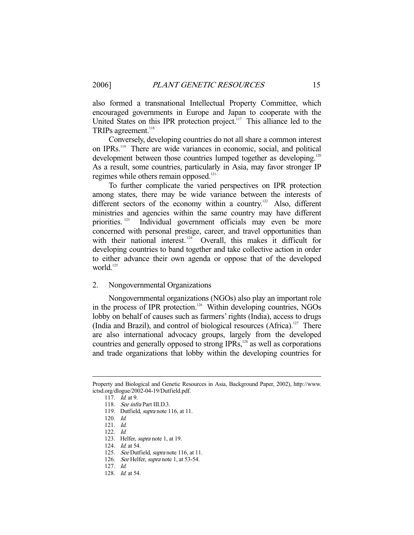also formed a transnational Intellectual Property Committee, which encouraged governments in Europe and Japan to cooperate with the United States on this IPR protection project.<sup>117</sup> This alliance led to the TRIPs agreement.<sup>118</sup>

 Conversely, developing countries do not all share a common interest on IPRs.119 There are wide variances in economic, social, and political development between those countries lumped together as developing.<sup>120</sup> As a result, some countries, particularly in Asia, may favor stronger IP regimes while others remain opposed.<sup>121</sup>

 To further complicate the varied perspectives on IPR protection among states, there may be wide variance between the interests of different sectors of the economy within a country.<sup>122</sup> Also, different ministries and agencies within the same country may have different priorities.<sup>123</sup> Individual government officials may even be more concerned with personal prestige, career, and travel opportunities than with their national interest.<sup>124</sup> Overall, this makes it difficult for developing countries to band together and take collective action in order to either advance their own agenda or oppose that of the developed world.<sup>125</sup>

#### 2. Nongovernmental Organizations

 Nongovernmental organizations (NGOs) also play an important role in the process of IPR protection.<sup>126</sup> Within developing countries, NGOs lobby on behalf of causes such as farmers' rights (India), access to drugs (India and Brazil), and control of biological resources (Africa).<sup>127</sup> There are also international advocacy groups, largely from the developed countries and generally opposed to strong IPRs,<sup>128</sup> as well as corporations and trade organizations that lobby within the developing countries for

Property and Biological and Genetic Resources in Asia, Background Paper, 2002), http://www. ictsd.org/dlogue/2002-04-19/Dutfield.pdf.

 <sup>117.</sup> Id. at 9.

 <sup>118.</sup> See infra Part III.D.3.

<sup>119.</sup> Dutfield, *supra* note 116, at 11.

 <sup>120.</sup> Id.

 <sup>121.</sup> Id.

 <sup>122.</sup> Id.

 <sup>123.</sup> Helfer, supra note 1, at 19.

<sup>124.</sup> *Id.* at 54.

<sup>125.</sup> See Dutfield, supra note 116, at 11.

<sup>126.</sup> See Helfer, *supra* note 1, at 53-54.

 <sup>127.</sup> Id.

 <sup>128.</sup> Id. at 54.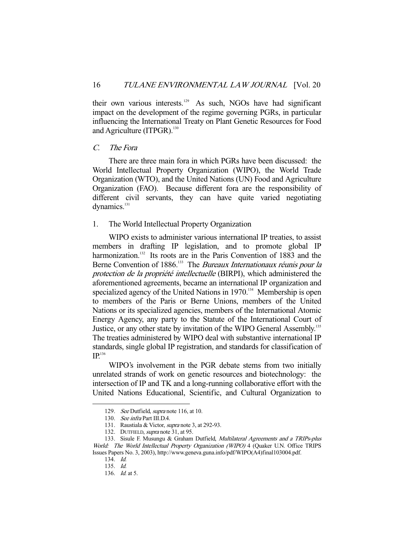their own various interests.<sup>129</sup> As such, NGOs have had significant impact on the development of the regime governing PGRs, in particular influencing the International Treaty on Plant Genetic Resources for Food and Agriculture (ITPGR). $130$ 

#### C. The Fora

 There are three main fora in which PGRs have been discussed: the World Intellectual Property Organization (WIPO), the World Trade Organization (WTO), and the United Nations (UN) Food and Agriculture Organization (FAO). Because different fora are the responsibility of different civil servants, they can have quite varied negotiating dynamics.<sup>131</sup>

## 1. The World Intellectual Property Organization

 WIPO exists to administer various international IP treaties, to assist members in drafting IP legislation, and to promote global IP harmonization.<sup>132</sup> Its roots are in the Paris Convention of 1883 and the Berne Convention of 1886.<sup>133</sup> The *Bureaux Internationaux réunis pour la* protection de la propriété intellectuelle (BIRPI), which administered the aforementioned agreements, became an international IP organization and specialized agency of the United Nations in 1970.<sup>134</sup> Membership is open to members of the Paris or Berne Unions, members of the United Nations or its specialized agencies, members of the International Atomic Energy Agency, any party to the Statute of the International Court of Justice, or any other state by invitation of the WIPO General Assembly.<sup>135</sup> The treaties administered by WIPO deal with substantive international IP standards, single global IP registration, and standards for classification of  $IP<sup>136</sup>$ 

 WIPO's involvement in the PGR debate stems from two initially unrelated strands of work on genetic resources and biotechnology: the intersection of IP and TK and a long-running collaborative effort with the United Nations Educational, Scientific, and Cultural Organization to

<sup>129.</sup> See Dutfield, supra note 116, at 10.

 <sup>130.</sup> See infra Part III.D.4.

<sup>131.</sup> Raustiala & Victor, *supra* note 3, at 292-93.

<sup>132.</sup> DUTFIELD, *supra* note 31, at 95.

<sup>133.</sup> Sisule F. Musungu & Graham Dutfield, Multilateral Agreements and a TRIPs-plus World: The World Intellectual Property Organization (WIPO) 4 (Quaker U.N. Office TRIPS Issues Papers No. 3, 2003), http://www.geneva.guna.info/pdf/WIPO(A4)final103004.pdf.

 <sup>134.</sup> Id.

 <sup>135.</sup> Id.

 <sup>136.</sup> Id. at 5.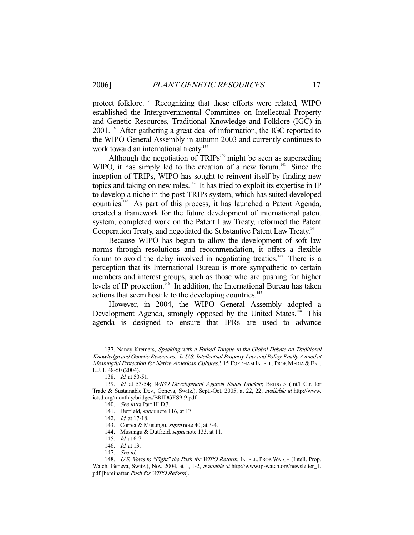protect folklore.137 Recognizing that these efforts were related, WIPO established the Intergovernmental Committee on Intellectual Property and Genetic Resources, Traditional Knowledge and Folklore (IGC) in 2001.<sup>138</sup> After gathering a great deal of information, the IGC reported to the WIPO General Assembly in autumn 2003 and currently continues to work toward an international treaty.<sup>139</sup>

Although the negotiation of  $TRIPS<sup>140</sup>$  might be seen as superseding WIPO, it has simply led to the creation of a new forum.<sup> $141$ </sup> Since the inception of TRIPs, WIPO has sought to reinvent itself by finding new topics and taking on new roles.<sup>142</sup> It has tried to exploit its expertise in IP to develop a niche in the post-TRIPs system, which has suited developed countries.143 As part of this process, it has launched a Patent Agenda, created a framework for the future development of international patent system, completed work on the Patent Law Treaty, reformed the Patent Cooperation Treaty, and negotiated the Substantive Patent Law Treaty.144

 Because WIPO has begun to allow the development of soft law norms through resolutions and recommendation, it offers a flexible forum to avoid the delay involved in negotiating treaties.<sup>145</sup> There is a perception that its International Bureau is more sympathetic to certain members and interest groups, such as those who are pushing for higher levels of IP protection.<sup>146</sup> In addition, the International Bureau has taken actions that seem hostile to the developing countries.<sup>147</sup>

 However, in 2004, the WIPO General Assembly adopted a Development Agenda, strongly opposed by the United States.<sup>148</sup> This agenda is designed to ensure that IPRs are used to advance

<sup>137.</sup> Nancy Kremers, Speaking with a Forked Tongue in the Global Debate on Traditional Knowledge and Genetic Resources: Is U.S. Intellectual Property Law and Policy Really Aimed at Meaningful Protection for Native American Cultures?, 15 FORDHAM INTELL. PROP. MEDIA & ENT. L.J. 1, 48-50 (2004).

 <sup>138.</sup> Id. at 50-51.

<sup>139.</sup> Id. at 53-54; WIPO Development Agenda Status Unclear, BRIDGES (Int'l Ctr. for Trade & Sustainable Dev., Geneva, Switz.), Sept.-Oct. 2005, at 22, 22, available at http://www. ictsd.org/monthly/bridges/BRIDGES9-9.pdf.

 <sup>140.</sup> See infra Part III.D.3.

 <sup>141.</sup> Dutfield, supra note 116, at 17.

<sup>142.</sup> *Id.* at 17-18.

<sup>143.</sup> Correa & Musungu, *supra* note 40, at 3-4.

<sup>144.</sup> Musungu & Dutfield, *supra* note 133, at 11.

<sup>145.</sup> *Id.* at 6-7.

<sup>146.</sup> *Id.* at 13.

 <sup>147.</sup> See id.

<sup>148.</sup> U.S. Vows to "Fight" the Push for WIPO Reform, INTELL. PROP. WATCH (Intell. Prop. Watch, Geneva, Switz.), Nov. 2004, at 1, 1-2, available at http://www.ip-watch.org/newsletter\_1. pdf [hereinafter Push for WIPO Reform].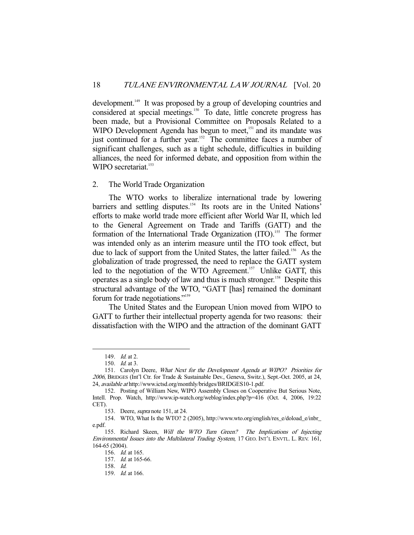development.<sup>149</sup> It was proposed by a group of developing countries and considered at special meetings.<sup>150</sup> To date, little concrete progress has been made, but a Provisional Committee on Proposals Related to a WIPO Development Agenda has begun to meet,<sup>151</sup> and its mandate was just continued for a further year.<sup>152</sup> The committee faces a number of significant challenges, such as a tight schedule, difficulties in building alliances, the need for informed debate, and opposition from within the WIPO secretariat.<sup>153</sup>

#### 2. The World Trade Organization

 The WTO works to liberalize international trade by lowering barriers and settling disputes.<sup>154</sup> Its roots are in the United Nations' efforts to make world trade more efficient after World War II, which led to the General Agreement on Trade and Tariffs (GATT) and the formation of the International Trade Organization (ITO).<sup>155</sup> The former was intended only as an interim measure until the ITO took effect, but due to lack of support from the United States, the latter failed.<sup>156</sup> As the globalization of trade progressed, the need to replace the GATT system led to the negotiation of the WTO Agreement.<sup>157</sup> Unlike GATT, this operates as a single body of law and thus is much stronger.158 Despite this structural advantage of the WTO, "GATT [has] remained the dominant forum for trade negotiations."159

 The United States and the European Union moved from WIPO to GATT to further their intellectual property agenda for two reasons: their dissatisfaction with the WIPO and the attraction of the dominant GATT

<sup>149.</sup> *Id.* at 2.

 <sup>150.</sup> Id. at 3.

 <sup>151.</sup> Carolyn Deere, What Next for the Development Agenda at WIPO? Priorities for <sup>2006</sup>, BRIDGES (Int'l Ctr. for Trade & Sustainable Dev., Geneva, Switz.), Sept.-Oct. 2005, at 24, 24, available at http://www.ictsd.org/monthly/bridges/BRIDGES10-1.pdf.

 <sup>152.</sup> Posting of William New, WIPO Assembly Closes on Cooperative But Serious Note, Intell. Prop. Watch, http://www.ip-watch.org/weblog/index.php?p=416 (Oct. 4, 2006, 19:22 CET).

 <sup>153.</sup> Deere, supra note 151, at 24.

 <sup>154.</sup> WTO, What Is the WTO? 2 (2005), http://www.wto.org/english/res\_e/doload\_e/inbr\_ e.pdf.

 <sup>155.</sup> Richard Skeen, Will the WTO Turn Green? The Implications of Injecting Environmental Issues into the Multilateral Trading System, 17 GEO. INT'L ENVTL. L. REV. 161, 164-65 (2004).

 <sup>156.</sup> Id. at 165.

 <sup>157.</sup> Id. at 165-66.

 <sup>158.</sup> Id.

 <sup>159.</sup> Id. at 166.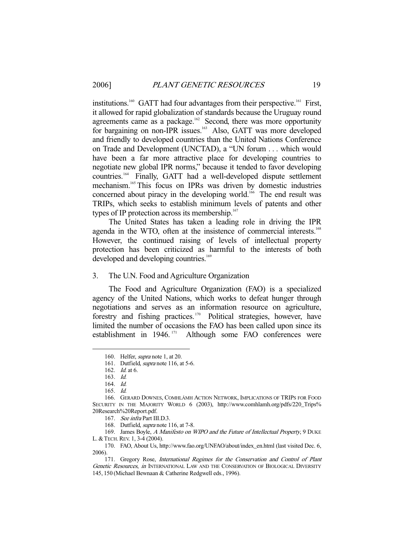institutions.<sup>160</sup> GATT had four advantages from their perspective.<sup>161</sup> First, it allowed for rapid globalization of standards because the Uruguay round agreements came as a package.<sup>162</sup> Second, there was more opportunity for bargaining on non-IPR issues.<sup>163</sup> Also, GATT was more developed and friendly to developed countries than the United Nations Conference on Trade and Development (UNCTAD), a "UN forum . . . which would have been a far more attractive place for developing countries to negotiate new global IPR norms," because it tended to favor developing countries.<sup>164</sup> Finally, GATT had a well-developed dispute settlement mechanism.165 This focus on IPRs was driven by domestic industries concerned about piracy in the developing world.<sup>166</sup> The end result was TRIPs, which seeks to establish minimum levels of patents and other types of IP protection across its membership. $167$ 

 The United States has taken a leading role in driving the IPR agenda in the WTO, often at the insistence of commercial interests.<sup>168</sup> However, the continued raising of levels of intellectual property protection has been criticized as harmful to the interests of both developed and developing countries.<sup>169</sup>

## 3. The U.N. Food and Agriculture Organization

 The Food and Agriculture Organization (FAO) is a specialized agency of the United Nations, which works to defeat hunger through negotiations and serves as an information resource on agriculture, forestry and fishing practices. 170 Political strategies, however, have limited the number of occasions the FAO has been called upon since its establishment in  $1946$ .<sup>171</sup> Although some FAO conferences were Although some FAO conferences were

<sup>160.</sup> Helfer, *supra* note 1, at 20.

<sup>161.</sup> Dutfield, *supra* note 116, at 5-6.

 <sup>162.</sup> Id. at 6.

 <sup>163.</sup> Id.

 <sup>164.</sup> Id.

 <sup>165.</sup> Id.

 <sup>166.</sup> GERARD DOWNES, COMHLÁMH ACTION NETWORK, IMPLICATIONS OF TRIPS FOR FOOD SECURITY IN THE MAJORITY WORLD 6 (2003), http://www.comhlamh.org/pdfs/220\_Trips% 20Research%20Report.pdf.

 <sup>167.</sup> See infra Part III.D.3.

<sup>168.</sup> Dutfield, *supra* note 116, at 7-8.

<sup>169.</sup> James Boyle, A Manifesto on WIPO and the Future of Intellectual Property, 9 DUKE L. & TECH. REV. 1, 3-4 (2004).

 <sup>170.</sup> FAO, About Us, http://www.fao.org/UNFAO/about/index\_en.html (last visited Dec. 6, 2006).

 <sup>171.</sup> Gregory Rose, International Regimes for the Conservation and Control of Plant Genetic Resources, in INTERNATIONAL LAW AND THE CONSERVATION OF BIOLOGICAL DIVERSITY 145, 150 (Michael Bewnaan & Catherine Redgwell eds., 1996).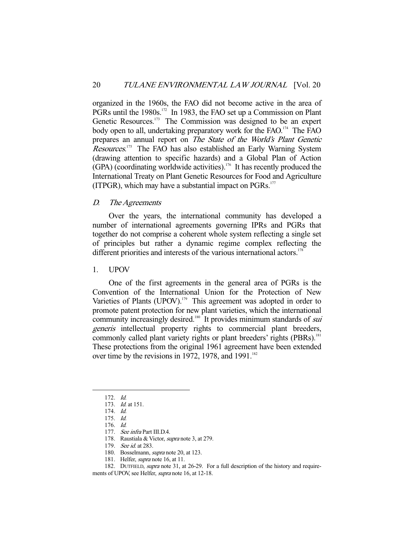organized in the 1960s, the FAO did not become active in the area of PGRs until the 1980s.<sup>172</sup> In 1983, the FAO set up a Commission on Plant Genetic Resources.<sup>173</sup> The Commission was designed to be an expert body open to all, undertaking preparatory work for the FAO.<sup>174</sup> The FAO. prepares an annual report on The State of the World's Plant Genetic Resources.<sup>175</sup> The FAO has also established an Early Warning System (drawing attention to specific hazards) and a Global Plan of Action  $(GPA)$  (coordinating worldwide activities).<sup>176</sup> It has recently produced the International Treaty on Plant Genetic Resources for Food and Agriculture (ITPGR), which may have a substantial impact on  $PGRs$ .<sup>177</sup>

### D. The Agreements

 Over the years, the international community has developed a number of international agreements governing IPRs and PGRs that together do not comprise a coherent whole system reflecting a single set of principles but rather a dynamic regime complex reflecting the different priorities and interests of the various international actors.<sup>178</sup>

### 1. UPOV

 One of the first agreements in the general area of PGRs is the Convention of the International Union for the Protection of New Varieties of Plants (UPOV).<sup>179</sup> This agreement was adopted in order to promote patent protection for new plant varieties, which the international community increasingly desired.<sup>180</sup> It provides minimum standards of *sui* generis intellectual property rights to commercial plant breeders, commonly called plant variety rights or plant breeders' rights (PBRs).<sup>181</sup> These protections from the original 1961 agreement have been extended over time by the revisions in 1972, 1978, and 1991.<sup>182</sup>

-

182. DUTFIELD, supra note 31, at 26-29. For a full description of the history and require-

ments of UPOV, see Helfer, supra note 16, at 12-18.

 <sup>172.</sup> Id.

 <sup>173.</sup> Id. at 151.

 <sup>174.</sup> Id.

 <sup>175.</sup> Id.

 <sup>176.</sup> Id.

 <sup>177.</sup> See infra Part III.D.4.

<sup>178.</sup> Raustiala & Victor, *supra* note 3, at 279.

<sup>179.</sup> See id. at 283.

 <sup>180.</sup> Bosselmann, supra note 20, at 123.

 <sup>181.</sup> Helfer, supra note 16, at 11.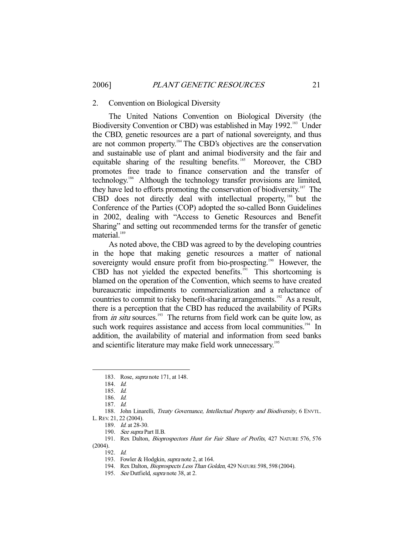#### 2. Convention on Biological Diversity

 The United Nations Convention on Biological Diversity (the Biodiversity Convention or CBD) was established in May 1992.<sup>183</sup> Under the CBD, genetic resources are a part of national sovereignty, and thus are not common property.184 The CBD's objectives are the conservation and sustainable use of plant and animal biodiversity and the fair and equitable sharing of the resulting benefits.<sup>185</sup> Moreover, the CBD promotes free trade to finance conservation and the transfer of technology.186 Although the technology transfer provisions are limited, they have led to efforts promoting the conservation of biodiversity.<sup>187</sup> The CBD does not directly deal with intellectual property, <sup>188</sup> but the Conference of the Parties (COP) adopted the so-called Bonn Guidelines in 2002, dealing with "Access to Genetic Resources and Benefit Sharing" and setting out recommended terms for the transfer of genetic material. $189$ 

 As noted above, the CBD was agreed to by the developing countries in the hope that making genetic resources a matter of national sovereignty would ensure profit from bio-prospecting.<sup>190</sup> However, the CBD has not yielded the expected benefits. $191$  This shortcoming is blamed on the operation of the Convention, which seems to have created bureaucratic impediments to commercialization and a reluctance of countries to commit to risky benefit-sharing arrangements.<sup>192</sup> As a result, there is a perception that the CBD has reduced the availability of PGRs from *in situ* sources.<sup>193</sup> The returns from field work can be quite low, as such work requires assistance and access from local communities.<sup>194</sup> In addition, the availability of material and information from seed banks and scientific literature may make field work unnecessary.<sup>195</sup>

-

188. John Linarelli, Treaty Governance, Intellectual Property and Biodiversity, 6 ENVTL. L.REV. 21, 22 (2004).

 191. Rex Dalton, Bioprospectors Hunt for Fair Share of Profits, 427 NATURE 576, 576 (2004).

192. Id.

195. See Dutfield, supra note 38, at 2.

 <sup>183.</sup> Rose, supra note 171, at 148.

 <sup>184.</sup> Id.

 <sup>185.</sup> Id.

 <sup>186.</sup> Id.

 <sup>187.</sup> Id.

 <sup>189.</sup> Id. at 28-30.

<sup>190.</sup> See supra Part II.B.

<sup>193.</sup> Fowler & Hodgkin, supra note 2, at 164.

<sup>194.</sup> Rex Dalton, *Bioprospects Less Than Golden*, 429 NATURE 598, 598 (2004).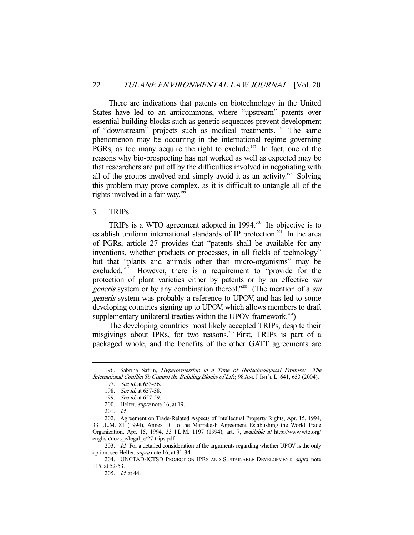There are indications that patents on biotechnology in the United States have led to an anticommons, where "upstream" patents over essential building blocks such as genetic sequences prevent development of "downstream" projects such as medical treatments.<sup>196</sup> The same phenomenon may be occurring in the international regime governing PGRs, as too many acquire the right to exclude.<sup>197</sup> In fact, one of the reasons why bio-prospecting has not worked as well as expected may be that researchers are put off by the difficulties involved in negotiating with all of the groups involved and simply avoid it as an activity.<sup>198</sup> Solving this problem may prove complex, as it is difficult to untangle all of the rights involved in a fair way.<sup>199</sup>

# 3. TRIPs

TRIPs is a WTO agreement adopted in 1994.<sup>200</sup> Its objective is to establish uniform international standards of IP protection.<sup>201</sup> In the area of PGRs, article 27 provides that "patents shall be available for any inventions, whether products or processes, in all fields of technology" but that "plants and animals other than micro-organisms" may be excluded.<sup>202</sup> However, there is a requirement to "provide for the protection of plant varieties either by patents or by an effective *sui generis* system or by any combination thereof."<sup>203</sup> (The mention of a *sui* generis system was probably a reference to UPOV, and has led to some developing countries signing up to UPOV, which allows members to draft supplementary unilateral treaties within the UPOV framework.<sup>204</sup>)

 The developing countries most likely accepted TRIPs, despite their misgivings about IPRs, for two reasons.<sup>205</sup> First, TRIPs is part of a packaged whole, and the benefits of the other GATT agreements are

 <sup>196.</sup> Sabrina Safrin, Hyperownership in a Time of Biotechnological Promise: The International Conflict To Control the Building Blocks of Life, 98AM.J.INT'L L. 641, 653 (2004).

 <sup>197.</sup> See id. at 653-56.

<sup>198.</sup> See id. at 657-58.

<sup>199.</sup> See id. at 657-59.

 <sup>200.</sup> Helfer, supra note 16, at 19.

 <sup>201.</sup> Id.

 <sup>202.</sup> Agreement on Trade-Related Aspects of Intellectual Property Rights, Apr. 15, 1994, 33 I.L.M. 81 (1994), Annex 1C to the Marrakesh Agreement Establishing the World Trade Organization, Apr. 15, 1994, 33 I.L.M. 1197 (1994), art. 7, available at http://www.wto.org/ english/docs\_e/legal\_e/27-trips.pdf.

<sup>203.</sup> Id. For a detailed consideration of the arguments regarding whether UPOV is the only option, see Helfer, supra note 16, at 31-34.

<sup>204.</sup> UNCTAD-ICTSD PROJECT ON IPRS AND SUSTAINABLE DEVELOPMENT, supra note 115, at 52-53.

 <sup>205.</sup> Id. at 44.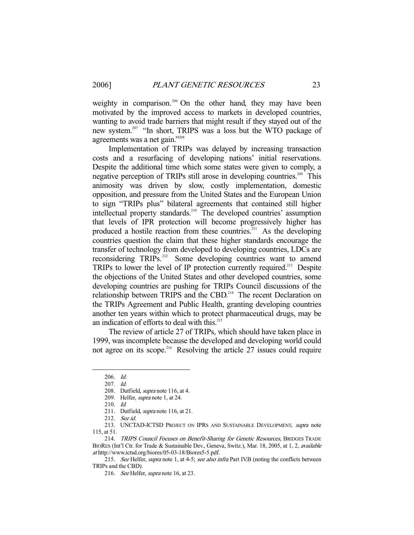weighty in comparison.<sup>206</sup> On the other hand, they may have been motivated by the improved access to markets in developed countries, wanting to avoid trade barriers that might result if they stayed out of the new system.<sup>207</sup> "In short, TRIPS was a loss but the WTO package of agreements was a net gain."<sup>208</sup>

 Implementation of TRIPs was delayed by increasing transaction costs and a resurfacing of developing nations' initial reservations. Despite the additional time which some states were given to comply, a negative perception of TRIPs still arose in developing countries.<sup>209</sup> This animosity was driven by slow, costly implementation, domestic opposition, and pressure from the United States and the European Union to sign "TRIPs plus" bilateral agreements that contained still higher intellectual property standards.<sup>210</sup> The developed countries' assumption that levels of IPR protection will become progressively higher has produced a hostile reaction from these countries.<sup>211</sup> As the developing countries question the claim that these higher standards encourage the transfer of technology from developed to developing countries, LDCs are reconsidering TRIPs.<sup>212</sup> Some developing countries want to amend TRIPs to lower the level of IP protection currently required.213 Despite the objections of the United States and other developed countries, some developing countries are pushing for TRIPs Council discussions of the relationship between TRIPS and the CBD.<sup>214</sup> The recent Declaration on the TRIPs Agreement and Public Health, granting developing countries another ten years within which to protect pharmaceutical drugs, may be an indication of efforts to deal with this. $215$ 

 The review of article 27 of TRIPs, which should have taken place in 1999, was incomplete because the developed and developing world could not agree on its scope.<sup>216</sup> Resolving the article 27 issues could require

 <sup>206.</sup> Id.

 <sup>207.</sup> Id.

<sup>208.</sup> Dutfield, *supra* note 116, at 4.

 <sup>209.</sup> Helfer, supra note 1, at 24.

 <sup>210.</sup> Id.

<sup>211.</sup> Dutfield, *supra* note 116, at 21.

 <sup>212.</sup> See id.

<sup>213.</sup> UNCTAD-ICTSD PROJECT ON IPRS AND SUSTAINABLE DEVELOPMENT, supra note 115, at 51.

 <sup>214.</sup> TRIPS Council Focuses on Benefit-Sharing for Genetic Resources, BRIDGES TRADE BIORES (Int'l Ctr. for Trade & Sustainable Dev., Geneva, Switz.), Mar. 18, 2005, at 1, 2, available at http://www.ictsd.org/biores/05-03-18/Biores5-5.pdf.

<sup>215.</sup> See Helfer, supra note 1, at 4-5; see also infra Part IV.B (noting the conflicts between TRIPs and the CBD).

<sup>216.</sup> See Helfer, supra note 16, at 23.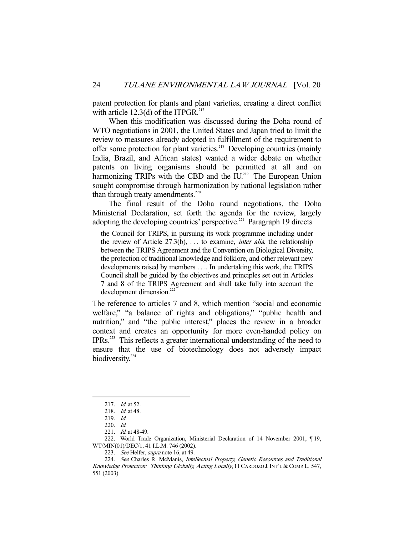patent protection for plants and plant varieties, creating a direct conflict with article  $12.3(d)$  of the ITPGR.<sup>217</sup>

 When this modification was discussed during the Doha round of WTO negotiations in 2001, the United States and Japan tried to limit the review to measures already adopted in fulfillment of the requirement to offer some protection for plant varieties.<sup>218</sup> Developing countries (mainly India, Brazil, and African states) wanted a wider debate on whether patents on living organisms should be permitted at all and on harmonizing TRIPs with the CBD and the IU.<sup>219</sup> The European Union sought compromise through harmonization by national legislation rather than through treaty amendments. $220$ 

 The final result of the Doha round negotiations, the Doha Ministerial Declaration, set forth the agenda for the review, largely adopting the developing countries' perspective.<sup>221</sup> Paragraph 19 directs

the Council for TRIPS, in pursuing its work programme including under the review of Article  $27.3(b)$ , ... to examine, *inter alia*, the relationship between the TRIPS Agreement and the Convention on Biological Diversity, the protection of traditional knowledge and folklore, and other relevant new developments raised by members . . .. In undertaking this work, the TRIPS Council shall be guided by the objectives and principles set out in Articles 7 and 8 of the TRIPS Agreement and shall take fully into account the development dimension.<sup>22</sup>

The reference to articles 7 and 8, which mention "social and economic welfare," "a balance of rights and obligations," "public health and nutrition," and "the public interest," places the review in a broader context and creates an opportunity for more even-handed policy on IPRs.223 This reflects a greater international understanding of the need to ensure that the use of biotechnology does not adversely impact biodiversity.<sup>224</sup>

 <sup>217.</sup> Id. at 52.

<sup>218.</sup> *Id.* at 48.

 <sup>219.</sup> Id.

 <sup>220.</sup> Id.

<sup>221.</sup> *Id.* at 48-49.

 <sup>222.</sup> World Trade Organization, Ministerial Declaration of 14 November 2001, ¶ 19, WT/MIN(01)/DEC/1, 41 I.L.M. 746 (2002).

<sup>223.</sup> See Helfer, supra note 16, at 49.

<sup>224.</sup> See Charles R. McManis, Intellectual Property, Genetic Resources and Traditional Knowledge Protection: Thinking Globally, Acting Locally, 11 CARDOZO J. INT'L & COMP. L. 547, 551 (2003).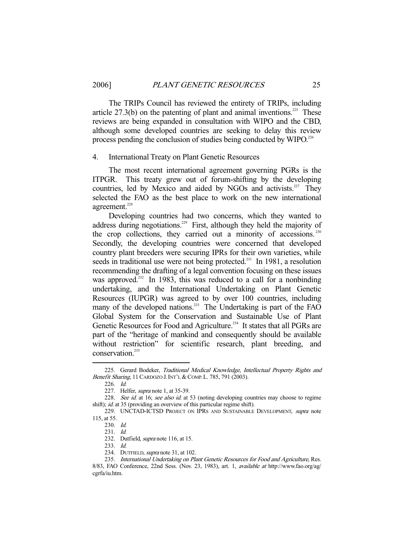The TRIPs Council has reviewed the entirety of TRIPs, including article  $27.3(b)$  on the patenting of plant and animal inventions.<sup>225</sup> These reviews are being expanded in consultation with WIPO and the CBD, although some developed countries are seeking to delay this review process pending the conclusion of studies being conducted by  $WIDO.$ <sup>226</sup>

#### 4. International Treaty on Plant Genetic Resources

 The most recent international agreement governing PGRs is the ITPGR. This treaty grew out of forum-shifting by the developing countries, led by Mexico and aided by NGOs and activists.<sup>227</sup> They selected the FAO as the best place to work on the new international agreement.<sup>228</sup>

 Developing countries had two concerns, which they wanted to address during negotiations.<sup>229</sup> First, although they held the majority of the crop collections, they carried out a minority of accessions.<sup>230</sup> Secondly, the developing countries were concerned that developed country plant breeders were securing IPRs for their own varieties, while seeds in traditional use were not being protected.<sup>231</sup> In 1981, a resolution recommending the drafting of a legal convention focusing on these issues was approved.<sup>232</sup> In 1983, this was reduced to a call for a nonbinding undertaking, and the International Undertaking on Plant Genetic Resources (IUPGR) was agreed to by over 100 countries, including many of the developed nations.<sup>233</sup> The Undertaking is part of the FAO Global System for the Conservation and Sustainable Use of Plant Genetic Resources for Food and Agriculture.<sup>234</sup> It states that all PGRs are part of the "heritage of mankind and consequently should be available without restriction" for scientific research, plant breeding, and conservation.<sup>235</sup>

-

233. Id.

<sup>225.</sup> Gerard Bodeker, Traditional Medical Knowledge, Intellectual Property Rights and Benefit Sharing, 11 CARDOZO J. INT'L & COMP. L. 785, 791 (2003).

 <sup>226.</sup> Id.

<sup>227.</sup> Helfer, *supra* note 1, at 35-39.

<sup>228.</sup> See id. at 16; see also id. at 53 (noting developing countries may choose to regime shift); *id.* at 35 (providing an overview of this particular regime shift).

<sup>229.</sup> UNCTAD-ICTSD PROJECT ON IPRS AND SUSTAINABLE DEVELOPMENT, supra note 115, at 55.

 <sup>230.</sup> Id.

 <sup>231.</sup> Id.

<sup>232.</sup> Dutfield, supra note 116, at 15.

<sup>234.</sup> DUTFIELD, *supra* note 31, at 102.

<sup>235.</sup> International Undertaking on Plant Genetic Resources for Food and Agriculture, Res. 8/83, FAO Conference, 22nd Sess. (Nov. 23, 1983), art. 1, available at http://www.fao.org/ag/ cgrfa/iu.htm.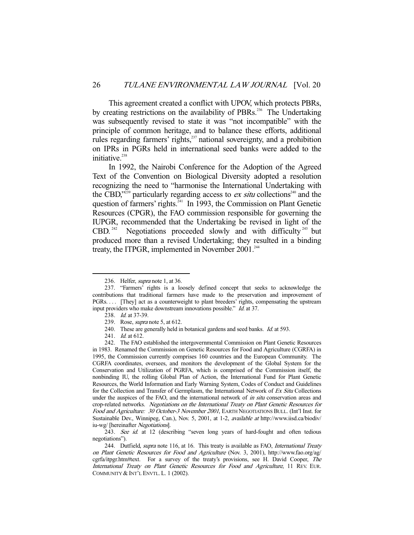This agreement created a conflict with UPOV, which protects PBRs, by creating restrictions on the availability of PBRs.<sup>236</sup> The Undertaking was subsequently revised to state it was "not incompatible" with the principle of common heritage, and to balance these efforts, additional rules regarding farmers' rights,<sup>237</sup> national sovereignty, and a prohibition on IPRs in PGRs held in international seed banks were added to the initiative.<sup>238</sup>

 In 1992, the Nairobi Conference for the Adoption of the Agreed Text of the Convention on Biological Diversity adopted a resolution recognizing the need to "harmonise the International Undertaking with the CBD,"<sup>239</sup> particularly regarding access to *ex situ* collections<sup>240</sup> and the question of farmers' rights.<sup>241</sup> In 1993, the Commission on Plant Genetic Resources (CPGR), the FAO commission responsible for governing the IUPGR, recommended that the Undertaking be revised in light of the  $CBD$ <sup>242</sup> Negotiations proceeded slowly and with difficulty<sup>243</sup> but produced more than a revised Undertaking; they resulted in a binding treaty, the ITPGR, implemented in November  $2001$ .<sup>244</sup>

<sup>236.</sup> Helfer, *supra* note 1, at 36.

 <sup>237. &</sup>quot;Farmers' rights is a loosely defined concept that seeks to acknowledge the contributions that traditional farmers have made to the preservation and improvement of PGRs. . . . [They] act as a counterweight to plant breeders' rights, compensating the upstream input providers who make downstream innovations possible." Id. at 37.

<sup>238.</sup> *Id.* at 37-39.

 <sup>239.</sup> Rose, supra note 5, at 612.

<sup>240.</sup> These are generally held in botanical gardens and seed banks. *Id.* at 593.

<sup>241.</sup> *Id.* at 612.

 <sup>242.</sup> The FAO established the intergovernmental Commission on Plant Genetic Resources in 1983. Renamed the Commission on Genetic Resources for Food and Agriculture (CGRFA) in 1995, the Commission currently comprises 160 countries and the European Community. The CGRFA coordinates, oversees, and monitors the development of the Global System for the Conservation and Utilization of PGRFA, which is comprised of the Commission itself, the nonbinding IU, the rolling Global Plan of Action, the International Fund for Plant Genetic Resources, the World Information and Early Warning System, Codes of Conduct and Guidelines for the Collection and Transfer of Germplasm, the International Network of Ex Situ Collections under the auspices of the FAO, and the international network of *in situ* conservation areas and crop-related networks. Negotiations on the International Treaty on Plant Genetic Resources for Food and Agriculture: 30 October-3 November 2001, EARTH NEGOTIATIONS BULL. (Int'l Inst. for Sustainable Dev., Winnipeg, Can.), Nov. 5, 2001, at 1-2, available at http://www.iisd.ca/biodiv/ iu-wg/ [hereinafter Negotiations].

<sup>243.</sup> See id. at 12 (describing "seven long years of hard-fought and often tedious negotiations").

<sup>244.</sup> Dutfield, supra note 116, at 16. This treaty is available as FAO, International Treaty on Plant Genetic Resources for Food and Agriculture (Nov. 3, 2001), http://www.fao.org/ag/ cgrfa/itpgr.htm#text. For a survey of the treaty's provisions, see H. David Cooper, The International Treaty on Plant Genetic Resources for Food and Agriculture, 11 REV. EUR. COMMUNITY & INT'L ENVTL.L. 1 (2002).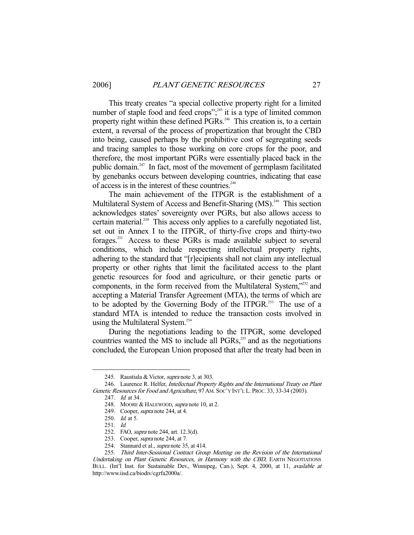This treaty creates "a special collective property right for a limited number of staple food and feed crops";<sup>245</sup> it is a type of limited common property right within these defined PGRs.<sup>246</sup> This creation is, to a certain extent, a reversal of the process of propertization that brought the CBD into being, caused perhaps by the prohibitive cost of segregating seeds and tracing samples to those working on core crops for the poor, and therefore, the most important PGRs were essentially placed back in the public domain.247 In fact, most of the movement of germplasm facilitated by genebanks occurs between developing countries, indicating that ease of access is in the interest of these countries.<sup>248</sup>

 The main achievement of the ITPGR is the establishment of a Multilateral System of Access and Benefit-Sharing (MS).<sup>249</sup> This section acknowledges states' sovereignty over PGRs, but also allows access to certain material.<sup>250</sup> This access only applies to a carefully negotiated list, set out in Annex I to the ITPGR, of thirty-five crops and thirty-two forages.251 Access to these PGRs is made available subject to several conditions, which include respecting intellectual property rights, adhering to the standard that "[r]ecipients shall not claim any intellectual property or other rights that limit the facilitated access to the plant genetic resources for food and agriculture, or their genetic parts or components, in the form received from the Multilateral System,"252 and accepting a Material Transfer Agreement (MTA), the terms of which are to be adopted by the Governing Body of the ITPGR.<sup>253</sup> The use of a standard MTA is intended to reduce the transaction costs involved in using the Multilateral System.<sup>254</sup>

 During the negotiations leading to the ITPGR, some developed countries wanted the MS to include all PGRs,<sup>255</sup> and as the negotiations concluded, the European Union proposed that after the treaty had been in

 <sup>245.</sup> Raustiala & Victor, supra note 3, at 303.

 <sup>246.</sup> Laurence R. Helfer, Intellectual Property Rights and the International Treaty on Plant Genetic Resources for Food and Agriculture, 97 AM. Soc'y INT'L L. PROC. 33, 33-34 (2003).

 <sup>247.</sup> Id. at 34.

<sup>248.</sup> MOORE & HALEWOOD, supra note 10, at 2.

 <sup>249.</sup> Cooper, supra note 244, at 4.

 <sup>250.</sup> Id. at 5.

 <sup>251.</sup> Id.

 <sup>252.</sup> FAO, supra note 244, art. 12.3(d).

<sup>253.</sup> Cooper, *supra* note 244, at 7.

<sup>254.</sup> Stannard et al., *supra* note 35, at 414.

 <sup>255.</sup> Third Inter-Sessional Contract Group Meeting on the Revision of the International Undertaking on Plant Genetic Resources, in Harmony with the CBD, EARTH NEGOTIATIONS BULL. (Int'l Inst. for Sustainable Dev., Winnipeg, Can.), Sept. 4, 2000, at 11, available at http://www.iisd.ca/biodiv/cgrfa2000a/.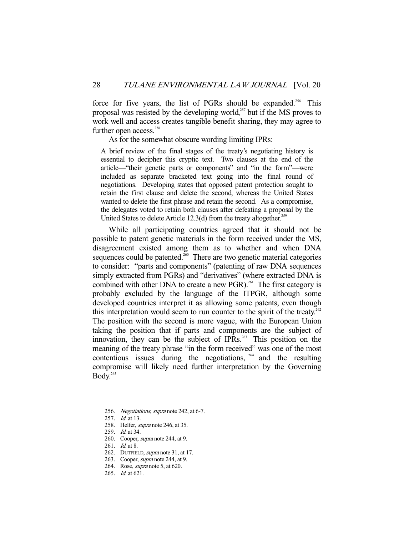force for five years, the list of PGRs should be expanded.<sup>256</sup> This proposal was resisted by the developing world,<sup>257</sup> but if the MS proves to work well and access creates tangible benefit sharing, they may agree to further open access.<sup>258</sup>

As for the somewhat obscure wording limiting IPRs:

A brief review of the final stages of the treaty's negotiating history is essential to decipher this cryptic text. Two clauses at the end of the article—"their genetic parts or components" and "in the form"—were included as separate bracketed text going into the final round of negotiations. Developing states that opposed patent protection sought to retain the first clause and delete the second, whereas the United States wanted to delete the first phrase and retain the second. As a compromise, the delegates voted to retain both clauses after defeating a proposal by the United States to delete Article 12.3(d) from the treaty altogether.<sup>259</sup>

 While all participating countries agreed that it should not be possible to patent genetic materials in the form received under the MS, disagreement existed among them as to whether and when DNA sequences could be patented.<sup>260</sup> There are two genetic material categories to consider: "parts and components" (patenting of raw DNA sequences simply extracted from PGRs) and "derivatives" (where extracted DNA is combined with other DNA to create a new PGR).<sup>261</sup> The first category is probably excluded by the language of the ITPGR, although some developed countries interpret it as allowing some patents, even though this interpretation would seem to run counter to the spirit of the treaty.<sup>262</sup> The position with the second is more vague, with the European Union taking the position that if parts and components are the subject of innovation, they can be the subject of IPRs.<sup>263</sup> This position on the meaning of the treaty phrase "in the form received" was one of the most contentious issues during the negotiations,  $264$  and the resulting compromise will likely need further interpretation by the Governing Body.<sup>265</sup>

<sup>256.</sup> Negotiations, supra note 242, at 6-7.

 <sup>257.</sup> Id. at 13.

<sup>258.</sup> Helfer, *supra* note 246, at 35.

<sup>259.</sup> *Id.* at 34.

<sup>260.</sup> Cooper, *supra* note 244, at 9.

<sup>261.</sup> *Id.* at 8.

<sup>262.</sup> DUTFIELD, *supra* note 31, at 17.

<sup>263.</sup> Cooper, *supra* note 244, at 9.

 <sup>264.</sup> Rose, supra note 5, at 620.

 <sup>265.</sup> Id. at 621.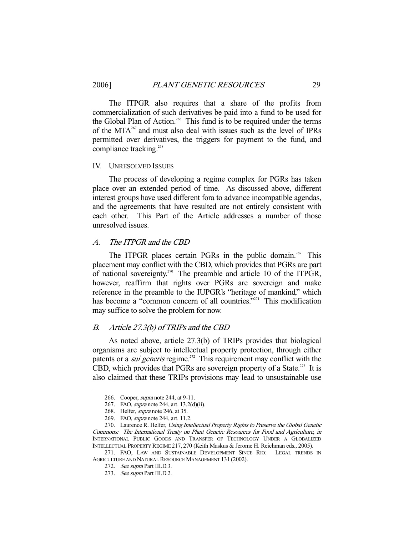The ITPGR also requires that a share of the profits from commercialization of such derivatives be paid into a fund to be used for the Global Plan of Action.<sup>266</sup> This fund is to be required under the terms of the MTA<sup>267</sup> and must also deal with issues such as the level of IPRs permitted over derivatives, the triggers for payment to the fund, and compliance tracking.<sup>268</sup>

#### IV. UNRESOLVED ISSUES

 The process of developing a regime complex for PGRs has taken place over an extended period of time. As discussed above, different interest groups have used different fora to advance incompatible agendas, and the agreements that have resulted are not entirely consistent with each other. This Part of the Article addresses a number of those unresolved issues.

# A. The ITPGR and the CBD

The ITPGR places certain PGRs in the public domain.<sup>269</sup> This placement may conflict with the CBD, which provides that PGRs are part of national sovereignty.<sup>270</sup> The preamble and article 10 of the ITPGR, however, reaffirm that rights over PGRs are sovereign and make reference in the preamble to the IUPGR's "heritage of mankind," which has become a "common concern of all countries."<sup>271</sup> This modification may suffice to solve the problem for now.

#### B. Article 27.3(b) of TRIPs and the CBD

 As noted above, article 27.3(b) of TRIPs provides that biological organisms are subject to intellectual property protection, through either patents or a *sui generis* regime.<sup>272</sup> This requirement may conflict with the CBD, which provides that PGRs are sovereign property of a State.<sup>273</sup> It is also claimed that these TRIPs provisions may lead to unsustainable use

 <sup>266.</sup> Cooper, supra note 244, at 9-11.

<sup>267.</sup> FAO, *supra* note 244, art. 13.2(d)(ii).

 <sup>268.</sup> Helfer, supra note 246, at 35.

 <sup>269.</sup> FAO, supra note 244, art. 11.2.

<sup>270.</sup> Laurence R. Helfer, Using Intellectual Property Rights to Preserve the Global Genetic Commons: The International Treaty on Plant Genetic Resources for Food and Agriculture, in INTERNATIONAL PUBLIC GOODS AND TRANSFER OF TECHNOLOGY UNDER A GLOBALIZED INTELLECTUAL PROPERTY REGIME 217, 270 (Keith Maskus & Jerome H. Reichman eds., 2005).

 <sup>271.</sup> FAO, LAW AND SUSTAINABLE DEVELOPMENT SINCE RIO: LEGAL TRENDS IN AGRICULTURE AND NATURAL RESOURCE MANAGEMENT 131 (2002).

 <sup>272.</sup> See supra Part III.D.3.

 <sup>273.</sup> See supra Part III.D.2.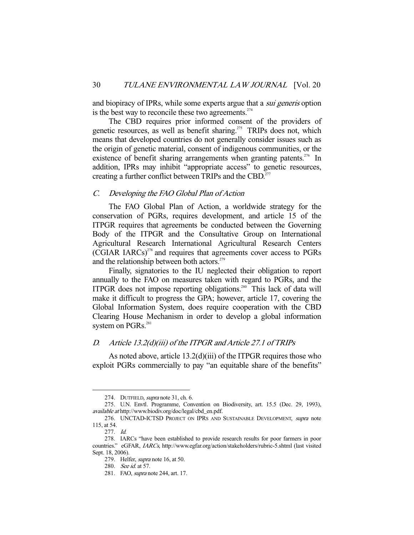and biopiracy of IPRs, while some experts argue that a *sui generis* option is the best way to reconcile these two agreements. $274$ 

 The CBD requires prior informed consent of the providers of genetic resources, as well as benefit sharing.<sup>275</sup> TRIPs does not, which means that developed countries do not generally consider issues such as the origin of genetic material, consent of indigenous communities, or the existence of benefit sharing arrangements when granting patents.<sup>276</sup> In addition, IPRs may inhibit "appropriate access" to genetic resources, creating a further conflict between TRIPs and the CBD.<sup>277</sup>

## C. Developing the FAO Global Plan of Action

 The FAO Global Plan of Action, a worldwide strategy for the conservation of PGRs, requires development, and article 15 of the ITPGR requires that agreements be conducted between the Governing Body of the ITPGR and the Consultative Group on International Agricultural Research International Agricultural Research Centers  $(CGIAR IARCs)^{278}$  and requires that agreements cover access to PGRs and the relationship between both actors.<sup>279</sup>

 Finally, signatories to the IU neglected their obligation to report annually to the FAO on measures taken with regard to PGRs, and the ITPGR does not impose reporting obligations.280 This lack of data will make it difficult to progress the GPA; however, article 17, covering the Global Information System, does require cooperation with the CBD Clearing House Mechanism in order to develop a global information system on PGRs.<sup>281</sup>

# D. Article 13.2(d)(iii) of the ITPGR and Article 27.1 of TRIPs

 As noted above, article 13.2(d)(iii) of the ITPGR requires those who exploit PGRs commercially to pay "an equitable share of the benefits"

 <sup>274.</sup> DUTFIELD, supra note 31, ch. 6.

 <sup>275.</sup> U.N. Envtl. Programme, Convention on Biodiversity, art. 15.5 (Dec. 29, 1993), available at http://www.biodiv.org/doc/legal/cbd\_en.pdf.

<sup>276.</sup> UNCTAD-ICTSD PROJECT ON IPRS AND SUSTAINABLE DEVELOPMENT, supra note 115, at 54.

 <sup>277.</sup> Id.

 <sup>278.</sup> IARCs "have been established to provide research results for poor farmers in poor countries." eGFAR, IARCs, http://www.egfar.org/action/stakeholders/rubric-5.shtml (last visited Sept. 18, 2006).

 <sup>279.</sup> Helfer, supra note 16, at 50.

 <sup>280.</sup> See id. at 57.

 <sup>281.</sup> FAO, supra note 244, art. 17.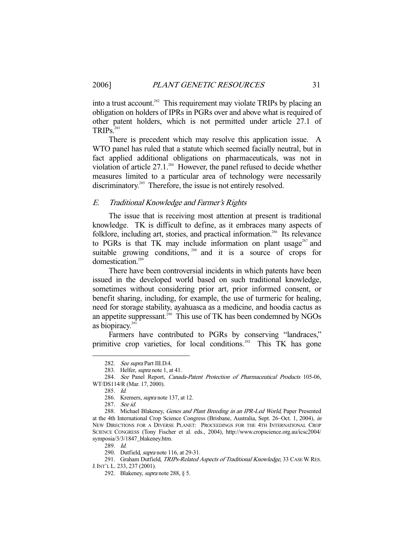into a trust account.<sup>282</sup> This requirement may violate TRIPs by placing an obligation on holders of IPRs in PGRs over and above what is required of other patent holders, which is not permitted under article 27.1 of TRIPs.<sup>283</sup>

 There is precedent which may resolve this application issue. A WTO panel has ruled that a statute which seemed facially neutral, but in fact applied additional obligations on pharmaceuticals, was not in violation of article  $27.1^{284}$  However, the panel refused to decide whether measures limited to a particular area of technology were necessarily discriminatory.<sup>285</sup> Therefore, the issue is not entirely resolved.

## E. Traditional Knowledge and Farmer's Rights

 The issue that is receiving most attention at present is traditional knowledge. TK is difficult to define, as it embraces many aspects of folklore, including art, stories, and practical information.<sup>286</sup> Its relevance to PGRs is that TK may include information on plant usage $^{287}$  and suitable growing conditions, <sup>288</sup> and it is a source of crops for domestication.<sup>289</sup>

 There have been controversial incidents in which patents have been issued in the developed world based on such traditional knowledge, sometimes without considering prior art, prior informed consent, or benefit sharing, including, for example, the use of turmeric for healing, need for storage stability, ayahuasca as a medicine, and hoodia cactus as an appetite suppressant.<sup>290</sup> This use of TK has been condemned by NGOs as biopiracy. $291$ 

Farmers have contributed to PGRs by conserving "landraces," primitive crop varieties, for local conditions.<sup>292</sup> This TK has gone

<sup>282.</sup> See supra Part III.D.4.

<sup>283.</sup> Helfer, *supra* note 1, at 41.

 <sup>284.</sup> See Panel Report, Canada-Patent Protection of Pharmaceutical Products 105-06, WT/DS114/R (Mar. 17, 2000).

 <sup>285.</sup> Id.

<sup>286.</sup> Kremers, *supra* note 137, at 12.

 <sup>287.</sup> See id.

<sup>288.</sup> Michael Blakeney, Genes and Plant Breeding in an IPR-Led World, Paper Presented at the 4th International Crop Science Congress (Brisbane, Australia, Sept. 26–Oct. 1, 2004), in NEW DIRECTIONS FOR A DIVERSE PLANET: PROCEEDINGS FOR THE 4TH INTERNATIONAL CROP SCIENCE CONGRESS (Tony Fischer et al. eds., 2004), http://www.cropscience.org.au/icsc2004/ symposia/3/3/1847\_blakeney.htm.

 <sup>289.</sup> Id.

<sup>290.</sup> Dutfield, *supra* note 116, at 29-31.

<sup>291.</sup> Graham Dutfield, TRIPs-Related Aspects of Traditional Knowledge, 33 CASE W. RES. J.INT'L L. 233, 237 (2001).

 <sup>292.</sup> Blakeney, supra note 288, § 5.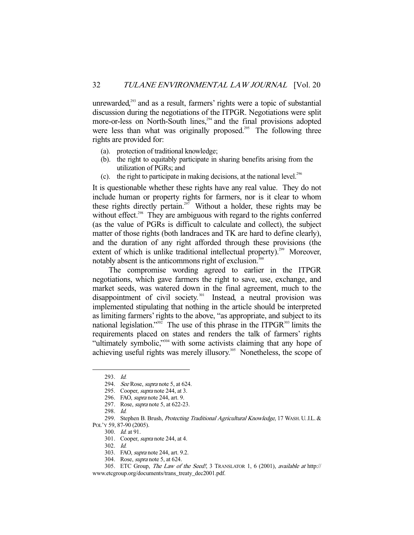unrewarded,<sup>293</sup> and as a result, farmers' rights were a topic of substantial discussion during the negotiations of the ITPGR. Negotiations were split more-or-less on North-South lines, $294$  and the final provisions adopted were less than what was originally proposed.<sup>295</sup> The following three rights are provided for:

- (a). protection of traditional knowledge;
- (b). the right to equitably participate in sharing benefits arising from the utilization of PGRs; and
- (c). the right to participate in making decisions, at the national level. $2^{96}$

It is questionable whether these rights have any real value. They do not include human or property rights for farmers, nor is it clear to whom these rights directly pertain.<sup>297</sup> Without a holder, these rights may be without effect.<sup>298</sup> They are ambiguous with regard to the rights conferred (as the value of PGRs is difficult to calculate and collect), the subject matter of those rights (both landraces and TK are hard to define clearly), and the duration of any right afforded through these provisions (the extent of which is unlike traditional intellectual property).<sup>299</sup> Moreover, notably absent is the anticommons right of exclusion.<sup>300</sup>

 The compromise wording agreed to earlier in the ITPGR negotiations, which gave farmers the right to save, use, exchange, and market seeds, was watered down in the final agreement, much to the disappointment of civil society.<sup>301</sup> Instead, a neutral provision was implemented stipulating that nothing in the article should be interpreted as limiting farmers' rights to the above, "as appropriate, and subject to its national legislation."<sup>302</sup> The use of this phrase in the ITPGR<sup>303</sup> limits the requirements placed on states and renders the talk of farmers' rights "ultimately symbolic,"<sup>304</sup> with some activists claiming that any hope of achieving useful rights was merely illusory.<sup>305</sup> Nonetheless, the scope of

-

304. Rose, supra note 5, at 624.

 <sup>293.</sup> Id.

<sup>294.</sup> See Rose, *supra* note 5, at 624.

<sup>295.</sup> Cooper, *supra* note 244, at 3.

 <sup>296.</sup> FAO, supra note 244, art. 9.

 <sup>297.</sup> Rose, supra note 5, at 622-23.

 <sup>298.</sup> Id.

<sup>299.</sup> Stephen B. Brush, *Protecting Traditional Agricultural Knowledge*, 17 WASH. U.J.L. &

POL'Y 59, 87-90 (2005).

 <sup>300.</sup> Id. at 91.

 <sup>301.</sup> Cooper, supra note 244, at 4.

 <sup>302.</sup> Id.

<sup>303.</sup> FAO, *supra* note 244, art. 9.2.

<sup>305.</sup> ETC Group, The Law of the Seed!, 3 TRANSLATOR 1, 6 (2001), available at http:// www.etcgroup.org/documents/trans\_treaty\_dec2001.pdf.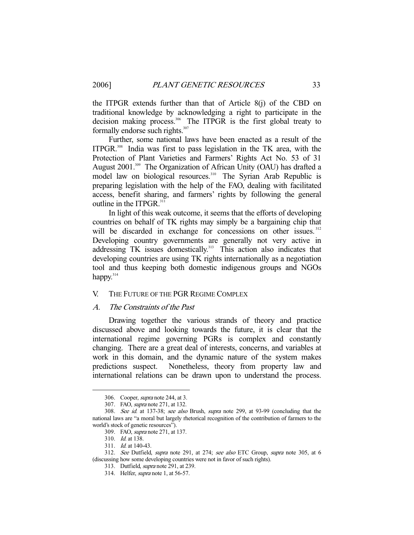the ITPGR extends further than that of Article 8(j) of the CBD on traditional knowledge by acknowledging a right to participate in the decision making process.<sup>306</sup> The ITPGR is the first global treaty to formally endorse such rights.<sup>307</sup>

 Further, some national laws have been enacted as a result of the ITPGR.308 India was first to pass legislation in the TK area, with the Protection of Plant Varieties and Farmers' Rights Act No. 53 of 31 August 2001.<sup>309</sup> The Organization of African Unity (OAU) has drafted a model law on biological resources.<sup>310</sup> The Syrian Arab Republic is preparing legislation with the help of the FAO, dealing with facilitated access, benefit sharing, and farmers' rights by following the general outline in the ITPGR.<sup>311</sup>

 In light of this weak outcome, it seems that the efforts of developing countries on behalf of TK rights may simply be a bargaining chip that will be discarded in exchange for concessions on other issues.<sup>312</sup> Developing country governments are generally not very active in addressing TK issues domestically.<sup>313</sup> This action also indicates that developing countries are using TK rights internationally as a negotiation tool and thus keeping both domestic indigenous groups and NGOs happy. $314$ 

#### V. THE FUTURE OF THE PGR REGIME COMPLEX

#### A. The Constraints of the Past

 Drawing together the various strands of theory and practice discussed above and looking towards the future, it is clear that the international regime governing PGRs is complex and constantly changing. There are a great deal of interests, concerns, and variables at work in this domain, and the dynamic nature of the system makes predictions suspect. Nonetheless, theory from property law and international relations can be drawn upon to understand the process.

-

311. Id. at 140-43.

 <sup>306.</sup> Cooper, supra note 244, at 3.

 <sup>307.</sup> FAO, supra note 271, at 132.

 <sup>308.</sup> See id. at 137-38; see also Brush, supra note 299, at 93-99 (concluding that the national laws are "a moral but largely rhetorical recognition of the contribution of farmers to the world's stock of genetic resources").

 <sup>309.</sup> FAO, supra note 271, at 137.

 <sup>310.</sup> Id. at 138.

 <sup>312.</sup> See Dutfield, supra note 291, at 274; see also ETC Group, supra note 305, at 6 (discussing how some developing countries were not in favor of such rights).

 <sup>313.</sup> Dutfield, supra note 291, at 239.

 <sup>314.</sup> Helfer, supra note 1, at 56-57.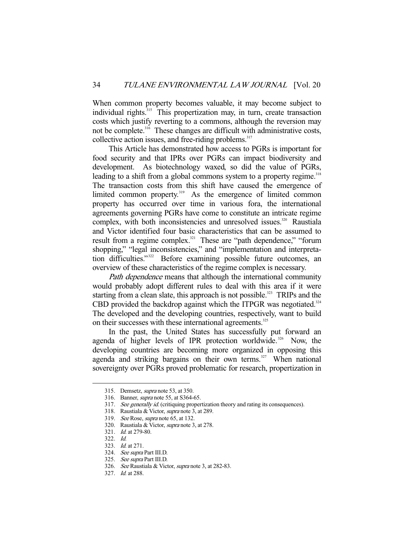When common property becomes valuable, it may become subject to individual rights.<sup>315</sup> This propertization may, in turn, create transaction costs which justify reverting to a commons, although the reversion may not be complete.<sup>316</sup> These changes are difficult with administrative costs, collective action issues, and free-riding problems.<sup>317</sup>

 This Article has demonstrated how access to PGRs is important for food security and that IPRs over PGRs can impact biodiversity and development. As biotechnology waxed, so did the value of PGRs, leading to a shift from a global commons system to a property regime.<sup>318</sup> The transaction costs from this shift have caused the emergence of limited common property.<sup>319</sup> As the emergence of limited common property has occurred over time in various fora, the international agreements governing PGRs have come to constitute an intricate regime complex, with both inconsistencies and unresolved issues.<sup>320</sup> Raustiala and Victor identified four basic characteristics that can be assumed to result from a regime complex.<sup>321</sup> These are "path dependence," "forum shopping," "legal inconsistencies," and "implementation and interpretation difficulties."<sup>322</sup> Before examining possible future outcomes, an overview of these characteristics of the regime complex is necessary.

Path dependence means that although the international community would probably adopt different rules to deal with this area if it were starting from a clean slate, this approach is not possible.<sup>323</sup> TRIPs and the CBD provided the backdrop against which the ITPGR was negotiated.<sup>324</sup> The developed and the developing countries, respectively, want to build on their successes with these international agreements.<sup>325</sup>

 In the past, the United States has successfully put forward an agenda of higher levels of IPR protection worldwide.<sup>326</sup> Now, the developing countries are becoming more organized in opposing this agenda and striking bargains on their own terms. $327$  When national sovereignty over PGRs proved problematic for research, propertization in

 <sup>315.</sup> Demsetz, supra note 53, at 350.

 <sup>316.</sup> Banner, supra note 55, at S364-65.

<sup>317.</sup> See generally id. (critiquing propertization theory and rating its consequences).

 <sup>318.</sup> Raustiala & Victor, supra note 3, at 289.

 <sup>319.</sup> See Rose, supra note 65, at 132.

 <sup>320.</sup> Raustiala & Victor, supra note 3, at 278.

 <sup>321.</sup> Id. at 279-80.

 <sup>322.</sup> Id.

 <sup>323.</sup> Id. at 271.

 <sup>324.</sup> See supra Part III.D.

 <sup>325.</sup> See supra Part III.D.

 <sup>326.</sup> See Raustiala & Victor, supra note 3, at 282-83.

 <sup>327.</sup> Id. at 288.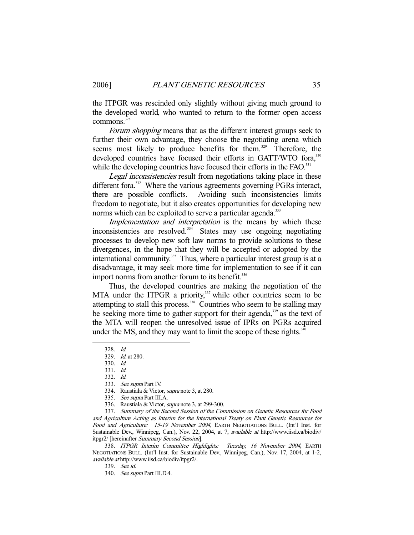the ITPGR was rescinded only slightly without giving much ground to the developed world, who wanted to return to the former open access  $commons.<sup>32</sup>$ 

Forum shopping means that as the different interest groups seek to further their own advantage, they choose the negotiating arena which seems most likely to produce benefits for them.<sup>329</sup> Therefore, the developed countries have focused their efforts in GATT/WTO fora,<sup>330</sup> while the developing countries have focused their efforts in the FAO.<sup>331</sup>

Legal inconsistencies result from negotiations taking place in these different fora.<sup>332</sup> Where the various agreements governing PGRs interact, there are possible conflicts. Avoiding such inconsistencies limits freedom to negotiate, but it also creates opportunities for developing new norms which can be exploited to serve a particular agenda.<sup>333</sup>

Implementation and interpretation is the means by which these inconsistencies are resolved. $334$  States may use ongoing negotiating processes to develop new soft law norms to provide solutions to these divergences, in the hope that they will be accepted or adopted by the international community.<sup>335</sup> Thus, where a particular interest group is at a disadvantage, it may seek more time for implementation to see if it can import norms from another forum to its benefit.<sup>336</sup>

 Thus, the developed countries are making the negotiation of the MTA under the ITPGR a priority,<sup>337</sup> while other countries seem to be attempting to stall this process.<sup>338</sup> Countries who seem to be stalling may be seeking more time to gather support for their agenda,<sup>339</sup> as the text of the MTA will reopen the unresolved issue of IPRs on PGRs acquired under the MS, and they may want to limit the scope of these rights. $340$ 

-

336. Raustiala & Victor, supra note 3, at 299-300.

 337. Summary of the Second Session of the Commission on Genetic Resources for Food and Agriculture Acting as Interim for the International Treaty on Plant Genetic Resources for Food and Agriculture: 15-19 November 2004, EARTH NEGOTIATIONS BULL. (Int'l Inst. for Sustainable Dev., Winnipeg, Can.), Nov. 22, 2004, at 7, available at http://www.iisd.ca/biodiv/ itpgr2/ [hereinafter Summary Second Session].

 338. ITPGR Interim Committee Highlights: Tuesday, 16 November 2004, EARTH NEGOTIATIONS BULL. (Int'l Inst. for Sustainable Dev., Winnipeg, Can.), Nov. 17, 2004, at 1-2, available at http://www.iisd.ca/biodiv/itpgr2/.

 <sup>328.</sup> Id.

 <sup>329.</sup> Id. at 280.

 <sup>330.</sup> Id.

 <sup>331.</sup> Id.

 <sup>332.</sup> Id.

 <sup>333.</sup> See supra Part IV.

 <sup>334.</sup> Raustiala & Victor, supra note 3, at 280.

 <sup>335.</sup> See supra Part III.A.

 <sup>339.</sup> See id.

 <sup>340.</sup> See supra Part III.D.4.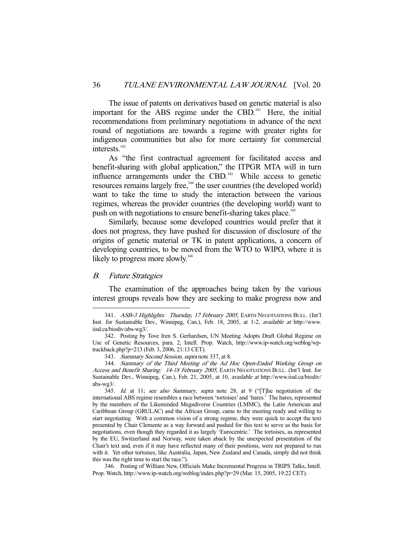The issue of patents on derivatives based on genetic material is also important for the ABS regime under the CBD.<sup>341</sup> Here, the initial recommendations from preliminary negotiations in advance of the next round of negotiations are towards a regime with greater rights for indigenous communities but also for more certainty for commercial interests.<sup>342</sup>

 As "the first contractual agreement for facilitated access and benefit-sharing with global application," the ITPGR MTA will in turn influence arrangements under the CBD. $343$  While access to genetic resources remains largely free,<sup>344</sup> the user countries (the developed world) want to take the time to study the interaction between the various regimes, whereas the provider countries (the developing world) want to push on with negotiations to ensure benefit-sharing takes place.<sup>345</sup>

 Similarly, because some developed countries would prefer that it does not progress, they have pushed for discussion of disclosure of the origins of genetic material or TK in patent applications, a concern of developing countries, to be moved from the WTO to WIPO, where it is likely to progress more slowly. $346$ 

# B. Future Strategies

-

 The examination of the approaches being taken by the various interest groups reveals how they are seeking to make progress now and

 346. Posting of William New, Officials Make Incremental Progress in TRIPS Talks, Intell. Prop. Watch, http://www.ip-watch.org/weblog/index.php?p=29 (Mar. 15, 2005, 19:22 CET).

<sup>341.</sup> ASB-3 Highlights: Thursday, 17 February 2005, EARTH NEGOTIATIONS BULL. (Int'l Inst. for Sustainable Dev., Winnipeg, Can.), Feb. 18, 2005, at 1-2, available at http://www. iisd.ca/biodiv/abs-wg3/.

 <sup>342.</sup> Posting by Tove Iren S. Gerhardsen, UN Meeting Adopts Draft Global Regime on Use of Genetic Resources, para. 2, Intell. Prop. Watch, http://www.ip-watch.org/weblog/wptrackback.php?p=213 (Feb. 3, 2006, 21:13 CET).

 <sup>343.</sup> Summary Second Session, supra note 337, at 8.

 <sup>344.</sup> Summary of the Third Meeting of the Ad Hoc Open-Ended Working Group on Access and Benefit Sharing: 14-18 February 2005, EARTH NEGOTIATIONS BULL. (Int'l Inst. for Sustainable Dev., Winnipeg, Can.), Feb. 21, 2005, at 10, available at http://www.iisd.ca/biodiv/ abs-wg3/.

<sup>345.</sup> Id. at 11; see also Summary, supra note 28, at 9 ("[T]he negotiation of the international ABS regime resembles a race between 'tortoises' and 'hares.' The hares, represented by the members of the Likeminded Megadiverse Countries (LMMC), the Latin American and Caribbean Group (GRULAC) and the African Group, came to the meeting ready and willing to start negotiating. With a common vision of a strong regime, they were quick to accept the text presented by Chair Clemente as a way forward and pushed for this text to serve as the basis for negotiations, even though they regarded it as largely 'Eurocentric.' The tortoises, as represented by the EU, Switzerland and Norway, were taken aback by the unexpected presentation of the Chair's text and, even if it may have reflected many of their positions, were not prepared to run with it. Yet other tortoises, like Australia, Japan, New Zealand and Canada, simply did not think this was the right time to start the race.").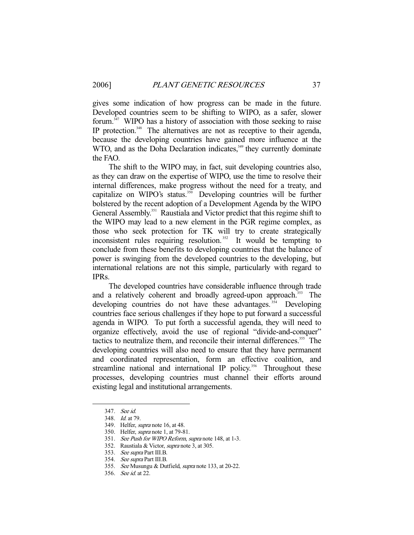gives some indication of how progress can be made in the future. Developed countries seem to be shifting to WIPO, as a safer, slower forum. $347$  WIPO has a history of association with those seeking to raise IP protection.<sup>348</sup> The alternatives are not as receptive to their agenda, because the developing countries have gained more influence at the WTO, and as the Doha Declaration indicates,<sup>349</sup> they currently dominate the FAO.

 The shift to the WIPO may, in fact, suit developing countries also, as they can draw on the expertise of WIPO, use the time to resolve their internal differences, make progress without the need for a treaty, and capitalize on WIPO's status.<sup>350</sup> Developing countries will be further bolstered by the recent adoption of a Development Agenda by the WIPO General Assembly.<sup>351</sup> Raustiala and Victor predict that this regime shift to the WIPO may lead to a new element in the PGR regime complex, as those who seek protection for TK will try to create strategically inconsistent rules requiring resolution.<sup> $352$ </sup> It would be tempting to conclude from these benefits to developing countries that the balance of power is swinging from the developed countries to the developing, but international relations are not this simple, particularly with regard to IPRs.

 The developed countries have considerable influence through trade and a relatively coherent and broadly agreed-upon approach.<sup>353</sup> The developing countries do not have these advantages.<sup>354</sup> Developing countries face serious challenges if they hope to put forward a successful agenda in WIPO. To put forth a successful agenda, they will need to organize effectively, avoid the use of regional "divide-and-conquer" tactics to neutralize them, and reconcile their internal differences.<sup>355</sup> The developing countries will also need to ensure that they have permanent and coordinated representation, form an effective coalition, and streamline national and international IP policy.<sup>356</sup> Throughout these processes, developing countries must channel their efforts around existing legal and institutional arrangements.

 <sup>347.</sup> See id.

 <sup>348.</sup> Id. at 79.

 <sup>349.</sup> Helfer, supra note 16, at 48.

 <sup>350.</sup> Helfer, supra note 1, at 79-81.

 <sup>351.</sup> See Push for WIPO Reform, supra note 148, at 1-3.

<sup>352.</sup> Raustiala & Victor, *supra* note 3, at 305.

 <sup>353.</sup> See supra Part III.B.

<sup>354.</sup> See supra Part III.B.

 <sup>355.</sup> See Musungu & Dutfield, supra note 133, at 20-22.

 <sup>356.</sup> See id. at 22.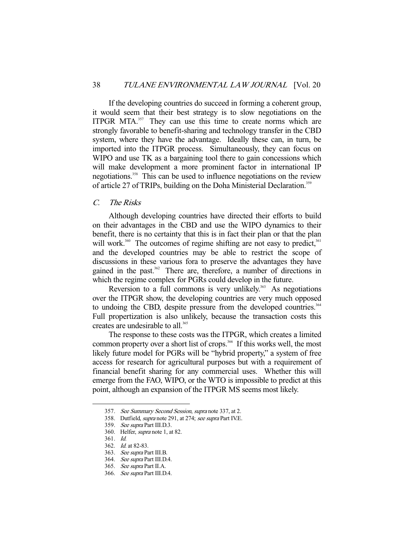If the developing countries do succeed in forming a coherent group, it would seem that their best strategy is to slow negotiations on the ITPGR MTA.<sup>357</sup> They can use this time to create norms which are strongly favorable to benefit-sharing and technology transfer in the CBD system, where they have the advantage. Ideally these can, in turn, be imported into the ITPGR process. Simultaneously, they can focus on WIPO and use TK as a bargaining tool there to gain concessions which will make development a more prominent factor in international IP negotiations.358 This can be used to influence negotiations on the review of article 27 of TRIPs, building on the Doha Ministerial Declaration.<sup>359</sup>

# C. The Risks

 Although developing countries have directed their efforts to build on their advantages in the CBD and use the WIPO dynamics to their benefit, there is no certainty that this is in fact their plan or that the plan will work.<sup>360</sup> The outcomes of regime shifting are not easy to predict,  $361$ and the developed countries may be able to restrict the scope of discussions in these various fora to preserve the advantages they have gained in the past.<sup>362</sup> There are, therefore, a number of directions in which the regime complex for PGRs could develop in the future.

Reversion to a full commons is very unlikely.<sup>363</sup> As negotiations over the ITPGR show, the developing countries are very much opposed to undoing the CBD, despite pressure from the developed countries.<sup>364</sup> Full propertization is also unlikely, because the transaction costs this creates are undesirable to all.<sup>365</sup>

 The response to these costs was the ITPGR, which creates a limited common property over a short list of crops.<sup>366</sup> If this works well, the most likely future model for PGRs will be "hybrid property," a system of free access for research for agricultural purposes but with a requirement of financial benefit sharing for any commercial uses. Whether this will emerge from the FAO, WIPO, or the WTO is impossible to predict at this point, although an expansion of the ITPGR MS seems most likely.

 <sup>357.</sup> See Summary Second Session, supra note 337, at 2.

 <sup>358.</sup> Dutfield, supra note 291, at 274; see supra Part IV.E.

 <sup>359.</sup> See supra Part III.D.3.

 <sup>360.</sup> Helfer, supra note 1, at 82.

 <sup>361.</sup> Id.

 <sup>362.</sup> Id. at 82-83.

 <sup>363.</sup> See supra Part III.B.

<sup>364.</sup> See supra Part III.D.4.

 <sup>365.</sup> See supra Part II.A.

 <sup>366.</sup> See supra Part III.D.4.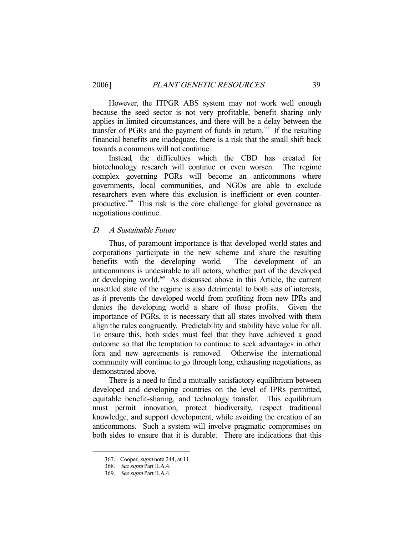However, the ITPGR ABS system may not work well enough because the seed sector is not very profitable, benefit sharing only applies in limited circumstances, and there will be a delay between the transfer of PGRs and the payment of funds in return.<sup>367</sup> If the resulting financial benefits are inadequate, there is a risk that the small shift back towards a commons will not continue.

 Instead, the difficulties which the CBD has created for biotechnology research will continue or even worsen. The regime complex governing PGRs will become an anticommons where governments, local communities, and NGOs are able to exclude researchers even where this exclusion is inefficient or even counterproductive.<sup>368</sup> This risk is the core challenge for global governance as negotiations continue.

# D. A Sustainable Future

 Thus, of paramount importance is that developed world states and corporations participate in the new scheme and share the resulting benefits with the developing world. The development of an anticommons is undesirable to all actors, whether part of the developed or developing world.<sup>369</sup> As discussed above in this Article, the current unsettled state of the regime is also detrimental to both sets of interests, as it prevents the developed world from profiting from new IPRs and denies the developing world a share of those profits. Given the importance of PGRs, it is necessary that all states involved with them align the rules congruently. Predictability and stability have value for all. To ensure this, both sides must feel that they have achieved a good outcome so that the temptation to continue to seek advantages in other fora and new agreements is removed. Otherwise the international community will continue to go through long, exhausting negotiations, as demonstrated above.

 There is a need to find a mutually satisfactory equilibrium between developed and developing countries on the level of IPRs permitted, equitable benefit-sharing, and technology transfer. This equilibrium must permit innovation, protect biodiversity, respect traditional knowledge, and support development, while avoiding the creation of an anticommons. Such a system will involve pragmatic compromises on both sides to ensure that it is durable. There are indications that this

<sup>367.</sup> Cooper, *supra* note 244, at 11.

 <sup>368.</sup> See supra Part II.A.4.

 <sup>369.</sup> See supra Part II.A.4.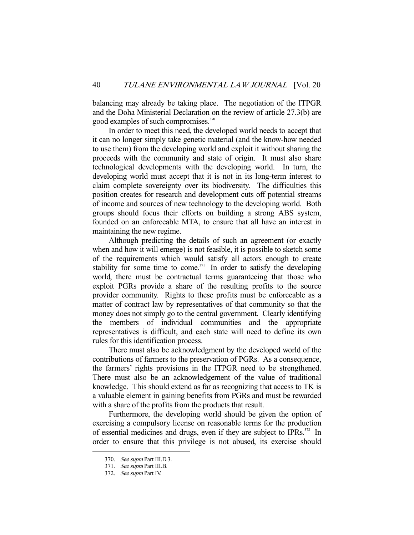balancing may already be taking place. The negotiation of the ITPGR and the Doha Ministerial Declaration on the review of article 27.3(b) are good examples of such compromises.<sup>370</sup>

 In order to meet this need, the developed world needs to accept that it can no longer simply take genetic material (and the know-how needed to use them) from the developing world and exploit it without sharing the proceeds with the community and state of origin. It must also share technological developments with the developing world. In turn, the developing world must accept that it is not in its long-term interest to claim complete sovereignty over its biodiversity. The difficulties this position creates for research and development cuts off potential streams of income and sources of new technology to the developing world. Both groups should focus their efforts on building a strong ABS system, founded on an enforceable MTA, to ensure that all have an interest in maintaining the new regime.

 Although predicting the details of such an agreement (or exactly when and how it will emerge) is not feasible, it is possible to sketch some of the requirements which would satisfy all actors enough to create stability for some time to come.<sup>371</sup> In order to satisfy the developing world, there must be contractual terms guaranteeing that those who exploit PGRs provide a share of the resulting profits to the source provider community. Rights to these profits must be enforceable as a matter of contract law by representatives of that community so that the money does not simply go to the central government. Clearly identifying the members of individual communities and the appropriate representatives is difficult, and each state will need to define its own rules for this identification process.

 There must also be acknowledgment by the developed world of the contributions of farmers to the preservation of PGRs. As a consequence, the farmers' rights provisions in the ITPGR need to be strengthened. There must also be an acknowledgement of the value of traditional knowledge. This should extend as far as recognizing that access to TK is a valuable element in gaining benefits from PGRs and must be rewarded with a share of the profits from the products that result.

 Furthermore, the developing world should be given the option of exercising a compulsory license on reasonable terms for the production of essential medicines and drugs, even if they are subject to IPRs.<sup>372</sup> In order to ensure that this privilege is not abused, its exercise should

 <sup>370.</sup> See supra Part III.D.3.

 <sup>371.</sup> See supra Part III.B.

 <sup>372.</sup> See supra Part IV.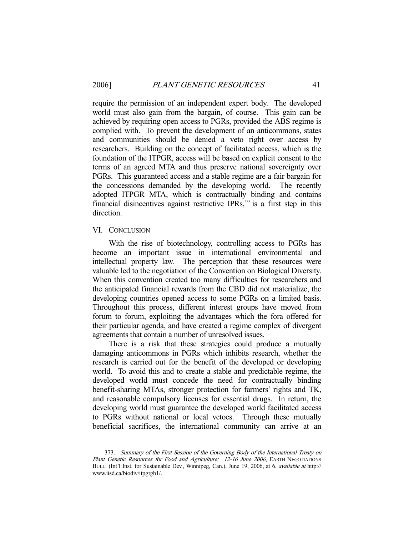require the permission of an independent expert body. The developed world must also gain from the bargain, of course. This gain can be achieved by requiring open access to PGRs, provided the ABS regime is complied with. To prevent the development of an anticommons, states and communities should be denied a veto right over access by researchers. Building on the concept of facilitated access, which is the foundation of the ITPGR, access will be based on explicit consent to the terms of an agreed MTA and thus preserve national sovereignty over PGRs. This guaranteed access and a stable regime are a fair bargain for the concessions demanded by the developing world. The recently adopted ITPGR MTA, which is contractually binding and contains financial disincentives against restrictive IPRs, $373$  is a first step in this direction.

#### VI. CONCLUSION

-

 With the rise of biotechnology, controlling access to PGRs has become an important issue in international environmental and intellectual property law. The perception that these resources were valuable led to the negotiation of the Convention on Biological Diversity. When this convention created too many difficulties for researchers and the anticipated financial rewards from the CBD did not materialize, the developing countries opened access to some PGRs on a limited basis. Throughout this process, different interest groups have moved from forum to forum, exploiting the advantages which the fora offered for their particular agenda, and have created a regime complex of divergent agreements that contain a number of unresolved issues.

 There is a risk that these strategies could produce a mutually damaging anticommons in PGRs which inhibits research, whether the research is carried out for the benefit of the developed or developing world. To avoid this and to create a stable and predictable regime, the developed world must concede the need for contractually binding benefit-sharing MTAs, stronger protection for farmers' rights and TK, and reasonable compulsory licenses for essential drugs. In return, the developing world must guarantee the developed world facilitated access to PGRs without national or local vetoes. Through these mutually beneficial sacrifices, the international community can arrive at an

 <sup>373.</sup> Summary of the First Session of the Governing Body of the International Treaty on Plant Genetic Resources for Food and Agriculture: 12-16 June 2006, EARTH NEGOTIATIONS BULL. (Int'l Inst. for Sustainable Dev., Winnipeg, Can.), June 19, 2006, at 6, *available at* http:// www.iisd.ca/biodiv/itpgrgb1/.